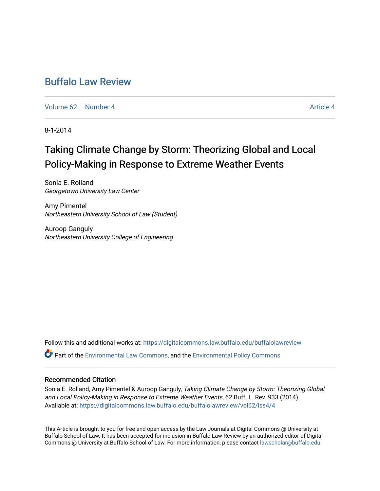# [Buffalo Law Review](https://digitalcommons.law.buffalo.edu/buffalolawreview)

[Volume 62](https://digitalcommons.law.buffalo.edu/buffalolawreview/vol62) [Number 4](https://digitalcommons.law.buffalo.edu/buffalolawreview/vol62/iss4) [Article 4](https://digitalcommons.law.buffalo.edu/buffalolawreview/vol62/iss4/4) Article 4 Article 4 Article 4 Article 4 Article 4 Article 4

8-1-2014

# Taking Climate Change by Storm: Theorizing Global and Local Policy-Making in Response to Extreme Weather Events

Sonia E. Rolland Georgetown University Law Center

Amy Pimentel Northeastern University School of Law (Student)

Auroop Ganguly Northeastern University College of Engineering

Follow this and additional works at: [https://digitalcommons.law.buffalo.edu/buffalolawreview](https://digitalcommons.law.buffalo.edu/buffalolawreview?utm_source=digitalcommons.law.buffalo.edu%2Fbuffalolawreview%2Fvol62%2Fiss4%2F4&utm_medium=PDF&utm_campaign=PDFCoverPages)  Part of the [Environmental Law Commons](http://network.bepress.com/hgg/discipline/599?utm_source=digitalcommons.law.buffalo.edu%2Fbuffalolawreview%2Fvol62%2Fiss4%2F4&utm_medium=PDF&utm_campaign=PDFCoverPages), and the [Environmental Policy Commons](http://network.bepress.com/hgg/discipline/1027?utm_source=digitalcommons.law.buffalo.edu%2Fbuffalolawreview%2Fvol62%2Fiss4%2F4&utm_medium=PDF&utm_campaign=PDFCoverPages) 

#### Recommended Citation

Sonia E. Rolland, Amy Pimentel & Auroop Ganguly, Taking Climate Change by Storm: Theorizing Global and Local Policy-Making in Response to Extreme Weather Events, 62 Buff. L. Rev. 933 (2014). Available at: [https://digitalcommons.law.buffalo.edu/buffalolawreview/vol62/iss4/4](https://digitalcommons.law.buffalo.edu/buffalolawreview/vol62/iss4/4?utm_source=digitalcommons.law.buffalo.edu%2Fbuffalolawreview%2Fvol62%2Fiss4%2F4&utm_medium=PDF&utm_campaign=PDFCoverPages) 

This Article is brought to you for free and open access by the Law Journals at Digital Commons @ University at Buffalo School of Law. It has been accepted for inclusion in Buffalo Law Review by an authorized editor of Digital Commons @ University at Buffalo School of Law. For more information, please contact [lawscholar@buffalo.edu](mailto:lawscholar@buffalo.edu).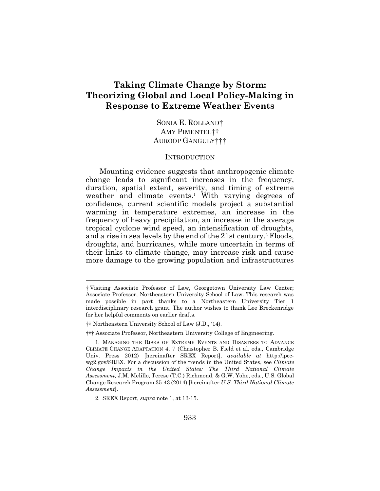## **Taking Climate Change by Storm: Theorizing Global and Local Policy-Making in Response to Extreme Weather Events**

SONIA E. ROLLAND† AMY PIMENTEL†† AUROOP GANGULY†††

#### **INTRODUCTION**

Mounting evidence suggests that anthropogenic climate change leads to significant increases in the frequency, duration, spatial extent, severity, and timing of extreme weather and climate events.<sup>1</sup> With varying degrees of confidence, current scientific models project a substantial warming in temperature extremes, an increase in the frequency of heavy precipitation, an increase in the average tropical cyclone wind speed, an intensification of droughts, and a rise in sea levels by the end of the 21st century.<sup>2</sup> Floods, droughts, and hurricanes, while more uncertain in terms of their links to climate change, may increase risk and cause more damage to the growing population and infrastructures

††† Associate Professor, Northeastern University College of Engineering.

<sup>†</sup> Visiting Associate Professor of Law, Georgetown University Law Center; Associate Professor, Northeastern University School of Law. This research was made possible in part thanks to a Northeastern University Tier 1 interdisciplinary research grant. The author wishes to thank Lee Breckenridge for her helpful comments on earlier drafts.

<sup>††</sup> Northeastern University School of Law (J.D., '14).

 <sup>1.</sup> MANAGING THE RISKS OF EXTREME EVENTS AND DISASTERS TO ADVANCE CLIMATE CHANGE ADAPTATION 4, 7 (Christopher B. Field et al. eds., Cambridge Univ. Press 2012) [hereinafter SREX Report], *available at* <http://ipcc>[wg2.gov/SREX](https://wg2.gov/SREX). For a discussion of the trends in the United States, see *Climate Change Impacts in the United States: The Third National Climate Assessment,* J.M. Melillo, Terese (T.C.) Richmond, & G.W. Yohe, eds., U.S. Global Change Research Program 35-43 (2014) [hereinafter *U.S. Third National Climate Assessment*].

 <sup>2.</sup> SREX Report, *supra* note 1, at 13-15.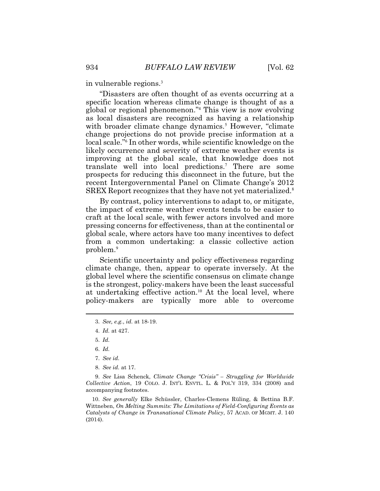in vulnerable regions.<sup>3</sup>

"Disasters are often thought of as events occurring at a specific location whereas climate change is thought of as a global or regional phenomenon."<sup>4</sup> This view is now evolving as local disasters are recognized as having a relationship with broader climate change dynamics.<sup>5</sup> However, "climate change projections do not provide precise information at a local scale."<sup>6</sup> In other words, while scientific knowledge on the likely occurrence and severity of extreme weather events is improving at the global scale, that knowledge does not translate well into local predictions.<sup>7</sup> There are some prospects for reducing this disconnect in the future, but the recent Intergovernmental Panel on Climate Change's 2012 SREX Report recognizes that they have not yet materialized.<sup>8</sup>

By contrast, policy interventions to adapt to, or mitigate, the impact of extreme weather events tends to be easier to craft at the local scale, with fewer actors involved and more pressing concerns for effectiveness, than at the continental or global scale, where actors have too many incentives to defect from a common undertaking: a classic collective action problem.<sup>9</sup>

Scientific uncertainty and policy effectiveness regarding climate change, then, appear to operate inversely. At the global level where the scientific consensus on climate change is the strongest, policy-makers have been the least successful at undertaking effective [action.](https://action.10)<sup>10</sup> At the local level, where policy-makers are typically more able to overcome

- 5. *Id.*
- 6. *Id.*
- 7. *See id.*
- 8. *See id.* at 17.

9. *See* Lisa Schenck, *Climate Change "Crisis" – Struggling for Worldwide Collective Action*, 19 COLO. J. INT'L ENVTL. L. & POL'Y 319, 334 (2008) and accompanying footnotes.

 (2014). 10. *See generally* Elke Schüssler, Charles-Clemens Rüling, & Bettina B.F. Wittneben, *On Melting Summits: The Limitations of Field-Configuring Events as Catalysts of Change in Transnational Climate Policy*, 57 ACAD. OF MGMT. J. 140

<sup>3.</sup> *See, e.g.*, *id.* at 18-19.

<sup>4.</sup> *Id.* at 427.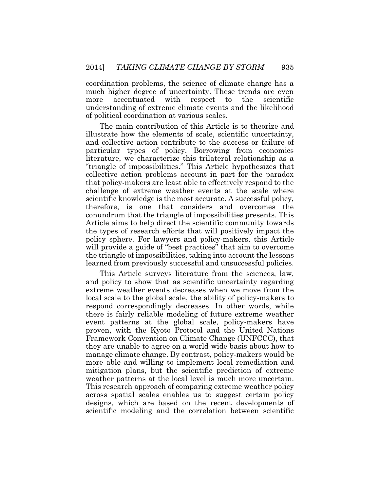coordination problems, the science of climate change has a much higher degree of uncertainty. These trends are even more accentuated with respect to the scientific understanding of extreme climate events and the likelihood of political coordination at various scales.

The main contribution of this Article is to theorize and illustrate how the elements of scale, scientific uncertainty, and collective action contribute to the success or failure of particular types of policy. Borrowing from economics literature, we characterize this trilateral relationship as a "triangle of impossibilities." This Article hypothesizes that collective action problems account in part for the paradox that policy-makers are least able to effectively respond to the challenge of extreme weather events at the scale where scientific knowledge is the most accurate. A successful policy, therefore, is one that considers and overcomes the conundrum that the triangle of impossibilities presents. This Article aims to help direct the scientific community towards the types of research efforts that will positively impact the policy sphere. For lawyers and policy-makers, this Article will provide a guide of "best practices" that aim to overcome the triangle of impossibilities, taking into account the lessons learned from previously successful and unsuccessful policies.

This Article surveys literature from the sciences, law, and policy to show that as scientific uncertainty regarding extreme weather events decreases when we move from the local scale to the global scale, the ability of policy-makers to respond correspondingly decreases. In other words, while there is fairly reliable modeling of future extreme weather event patterns at the global scale, policy-makers have proven, with the Kyoto Protocol and the United Nations Framework Convention on Climate Change (UNFCCC), that they are unable to agree on a world-wide basis about how to manage climate change. By contrast, policy-makers would be more able and willing to implement local remediation and mitigation plans, but the scientific prediction of extreme weather patterns at the local level is much more uncertain. This research approach of comparing extreme weather policy across spatial scales enables us to suggest certain policy designs, which are based on the recent developments of scientific modeling and the correlation between scientific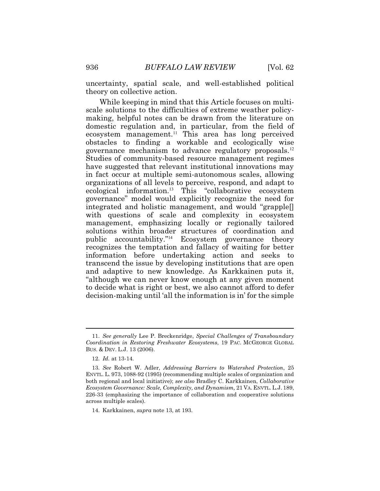uncertainty, spatial scale, and well-established political theory on collective action.

While keeping in mind that this Article focuses on multiscale solutions to the difficulties of extreme weather policymaking, helpful notes can be drawn from the literature on domestic regulation and, in particular, from the field of ecosystem [management.](https://management.11)<sup>11</sup> This area has long perceived obstacles to finding a workable and ecologically wise governance mechanism to advance regulatory [proposals.](https://proposals.12)<sup>12</sup> Studies of community-based resource management regimes have suggested that relevant institutional innovations may in fact occur at multiple semi-autonomous scales, allowing organizations of all levels to perceive, respond, and adapt to ecological [information.](https://information.13)<sup>13</sup> This "collaborative ecosystem governance" model would explicitly recognize the need for integrated and holistic management, and would "grapple[] with questions of scale and complexity in ecosystem management, emphasizing locally or regionally tailored solutions within broader structures of coordination and public accountability."<sup>14</sup> Ecosystem governance theory recognizes the temptation and fallacy of waiting for better information before undertaking action and seeks to transcend the issue by developing institutions that are open and adaptive to new knowledge. As Karkkainen puts it, "although we can never know enough at any given moment to decide what is right or best, we also cannot afford to defer decision-making until 'all the information is in' for the simple

<sup>11.</sup> *See generally* Lee P. Breckenridge, *Special Challenges of Transboundary Coordination in Restoring Freshwater Ecosystems*, 19 PAC. MCGEORGE GLOBAL BUS.&DEV. L.J. 13 (2006).

 <sup>12.</sup> *Id.* at 13-14.

<sup>13.</sup> *See* Robert W. Adler, *Addressing Barriers to Watershed Protection*, 25 ENVTL. L. 973, 1088-92 (1995) (recommending multiple scales of organization and both regional and local initiative); *see also* Bradley C. Karkkainen, *Collaborative Ecosystem Governance: Scale, Complexity, and Dynamism,* 21 VA. ENVTL. L.J. 189, 226-33 (emphasizing the importance of collaboration and cooperative solutions across multiple scales).

 14. Karkkainen, *supra* note 13, at 193.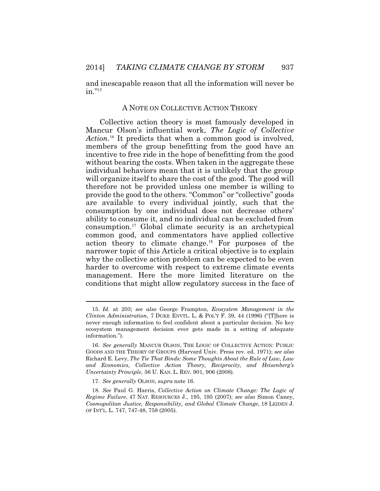and inescapable reason that all the information will never be  $in$ ."<sup>15</sup>

#### A NOTE ON COLLECTIVE ACTION THEORY

Collective action theory is most famously developed in Mancur Olson's influential work, *The Logic of Collective*  Action.<sup>16</sup> It predicts that when a common good is involved, members of the group benefitting from the good have an incentive to free ride in the hope of benefitting from the good without bearing the costs. When taken in the aggregate these individual behaviors mean that it is unlikely that the group will organize itself to share the cost of the good. The good will therefore not be provided unless one member is willing to provide the good to the others. "Common" or "collective" goods are available to every individual jointly, such that the consumption by one individual does not decrease others' ability to consume it, and no individual can be excluded from [consumption.](https://consumption.17)<sup>17</sup> Global climate security is an archetypical common good, and commentators have applied collective action theory to climate [change.](https://change.18)<sup>18</sup> For purposes of the narrower topic of this Article a critical objective is to explain why the collective action problem can be expected to be even harder to overcome with respect to extreme climate events management. Here the more limited literature on the conditions that might allow regulatory success in the face of

17. *See generally* OLSON, *supra* note 16.

 information."). 15. *Id.* at 203; *see also* George Frampton, *Ecosystem Management in the Clinton Administration,* 7 DUKE ENVTL. L. & POL'Y F. 39, 44 (1996) ("[T]here is never enough information to feel confident about a particular decision. No key ecosystem management decision ever gets made in a setting of adequate

 *Uncertainty Principle*, 56 U. KAN. L. REV. 901, 906 (2008). 16. *See generally* MANCUR OLSON, THE LOGIC OF COLLECTIVE ACTION: PUBLIC GOODS AND THE THEORY OF GROUPS (Harvard Univ. Press rev. ed. 1971); *see also*  Richard E. Levy, *The Tie That Binds: Some Thoughts About the Rule of Law, Law and Economics, Collective Action Theory, Reciprocity, and Heisenberg's* 

 <sup>18.</sup> *See* Paul G. Harris, *Collective Action on Climate Change: The Logic of Regime Failure*, 47 NAT. RESOURCES J., 195, 195 (2007); *see also* Simon Caney, *Cosmopolitan Justice, Responsibility, and Global Climate Change*, 18 LEIDEN J. OF INT'L. L. 747, 747-48, 758 (2005).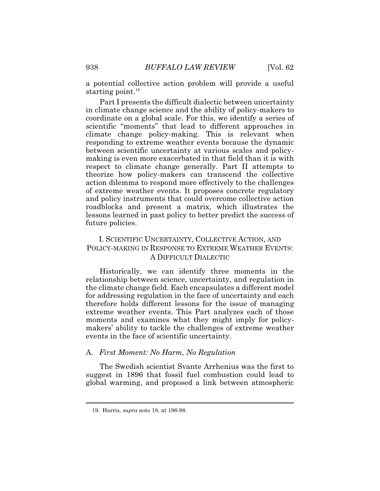a potential collective action problem will provide a useful starting [point.](https://point.19) $19$ 

Part I presents the difficult dialectic between uncertainty in climate change science and the ability of policy-makers to coordinate on a global scale. For this, we identify a series of scientific "moments" that lead to different approaches in climate change policy-making. This is relevant when responding to extreme weather events because the dynamic between scientific uncertainty at various scales and policymaking is even more exacerbated in that field than it is with respect to climate change generally. Part II attempts to theorize how policy-makers can transcend the collective action dilemma to respond more effectively to the challenges of extreme weather events. It proposes concrete regulatory and policy instruments that could overcome collective action roadblocks and present a matrix, which illustrates the lessons learned in past policy to better predict the success of future policies.

## I. SCIENTIFIC UNCERTAINTY, COLLECTIVE ACTION, AND POLICY-MAKING IN RESPONSE TO EXTREME WEATHER EVENTS: A DIFFICULT DIALECTIC

Historically, we can identify three moments in the relationship between science, uncertainty, and regulation in the climate change field. Each encapsulates a different model for addressing regulation in the face of uncertainty and each therefore holds different lessons for the issue of managing extreme weather events. This Part analyzes each of those moments and examines what they might imply for policymakers' ability to tackle the challenges of extreme weather events in the face of scientific uncertainty.

#### A. *First Moment: No Harm, No Regulation*

The Swedish scientist Svante Arrhenius was the first to suggest in 1896 that fossil fuel combustion could lead to global warming, and proposed a link between atmospheric

 19. Harris, *supra* note 18, at 196-98.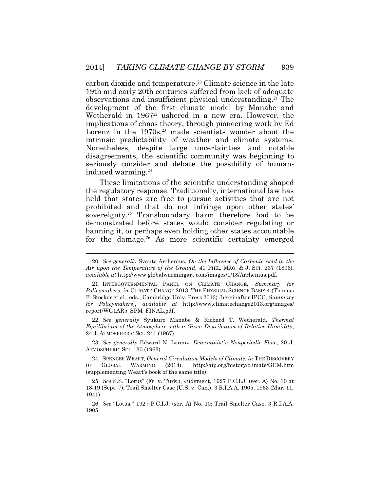carbon dioxide and [temperature.](https://temperature.20)<sup>20</sup> Climate science in the late 19th and early 20th centuries suffered from lack of adequate observations and insufficient physical [understanding.](https://understanding.21)<sup>21</sup> The development of the first climate model by Manabe and Wetherald in 1967<sup>22</sup> ushered in a new era. However, the implications of chaos theory, through pioneering work by Ed Lorenz in the  $1970s$ ,<sup>23</sup> made scientists wonder about the intrinsic predictability of weather and climate systems. Nonetheless, despite large uncertainties and notable disagreements, the scientific community was beginning to seriously consider and debate the possibility of humaninduced [warming.](https://warming.24)<sup>24</sup>

These limitations of the scientific understanding shaped the regulatory response. Traditionally, international law has held that states are free to pursue activities that are not prohibited and that do not infringe upon other states' [sovereignty.](https://sovereignty.25)<sup>25</sup> Transboundary harm therefore had to be demonstrated before states would consider regulating or banning it, or perhaps even holding other states accountable for the [damage.](https://damage.26)<sup>26</sup> As more scientific certainty emerged

22. *See generally* Syukuro Manabe & Richard T. Wetherald, *Thermal Equilibrium of the Atmosphere with a Given Distribution of Relative Humidity*, 24 J. ATMOSPHERIC SCI. 241 (1967).

 ATMOSPHERIC SCI. 130 (1963). 23. *See generally* Edward N. Lorenz, *Deterministic Nonperiodic Flow*, 20 J.

 24. SPENCER WEART, *General Circulation Models of Climate, in* THE DISCOVERY OF GLOBAL WARMING (2014), <http://aip.org/history/climate/GCM.htm> (supplementing Weart's book of the same title).

 25. *See* S.S. "Lotus" (Fr. v. Turk.), Judgment, 1927 P.C.I.J. (ser. A) No. 10 at 18-19 (Sept. 7); Trail Smelter Case (U.S. v. Can.), 3 R.I.A.A. 1905, 1963 (Mar. 11, 1941).

 26. *See* "Lotus," 1927 P.C.I.J. (ser. A) No. 10; Trail Smelter Case, 3 R.I.A.A. 1905.

<sup>20.</sup> *See generally* Svante Arrhenius, *On the Influence of Carbonic Acid in the Air upon the Temperature of the Ground*, 41 PHIL. MAG. & J. SCI. 237 (1896), *available at* [http://www.globalwarmingart.com/images/1/18/Arrhenius.pdf.](http://www.globalwarmingart.com/images/1/18/Arrhenius.pdf)

<sup>21.</sup> INTERGOVERNMENTAL PANEL ON CLIMATE CHANGE, *Summary for Policymakers*, *in* CLIMATE CHANGE 2013: THE PHYSICAL SCIENCE BASIS 4 (Thomas F. Stocker et al., eds., Cambridge Univ. Press 2013) [hereinafter IPCC, *Summary for Policymakers*], *available at* <http://www.climatechange2013.org/images>/ report/WG1AR5\_SPM\_FINAL.pdf.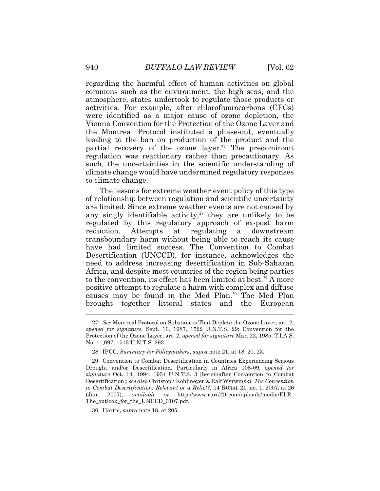regarding the harmful effect of human activities on global commons such as the environment, the high seas, and the atmosphere, states undertook to regulate those products or activities. For example, after chlorofluorocarbons (CFCs) were identified as a major cause of ozone depletion, the Vienna Convention for the Protection of the Ozone Layer and the Montreal Protocol instituted a phase-out, eventually leading to the ban on production of the product and the partial recovery of the ozone [layer.](https://layer.27)<sup>27</sup> The predominant regulation was reactionary rather than precautionary. As such, the uncertainties in the scientific understanding of climate change would have undermined regulatory responses to climate change.

The lessons for extreme weather event policy of this type of relationship between regulation and scientific uncertainty are limited. Since extreme weather events are not caused by any singly identifiable activity, $28$  they are unlikely to be regulated by this regulatory approach of ex-post harm reduction. Attempts at regulating a downstream transboundary harm without being able to reach its cause have had limited success. The Convention to Combat Desertification (UNCCD), for instance, acknowledges the need to address increasing desertification in Sub-Saharan Africa, and despite most countries of the region being parties to the convention, its effect has been limited at best.<sup>29</sup> A more positive attempt to regulate a harm with complex and diffuse causes may be found in the Med Plan.<sup>30</sup> The Med Plan brought together littoral states and the European

<sup>27.</sup> *See* Montreal Protocol on Substances That Deplete the Ozone Layer, art. 2, *opened for signature*, Sept. 16, 1987, 1522 U.N.T.S. 29; Convention for the Protection of the Ozone Layer, art. 2, o*pened for signature* Mar. 22, 1985, T.I.A.S. No. 11,097, 1513 U.N.T.S. 293.

<sup>28.</sup> IPCC, *Summary for Policymakers*, *supra* note 21, at 18, 20, 23.

<sup>29.</sup> Convention to Combat Desertification in Countries Experiencing Serious Drought and/or Desertification, Particularly in Africa 108-09, *opened for signature* Oct. 14, 1994, 1954 U.N.T.S. 3 [hereinafter Convention to Combat Desertification]; *see also* Christoph Kohlmeyer & Ralf Wyrwinski, *The Convention to Combat Desertification: Relevant or a Relict?*, 14 RURAL 21, no. 1, 2007, at 26 (Jan. 2007), *available at* <http://www.rural21.com/uploads/media/ELR>\_ The\_outlook\_for\_the\_UNCCD\_0107.pdf.

 30. Harris, *supra* note 18, at 205.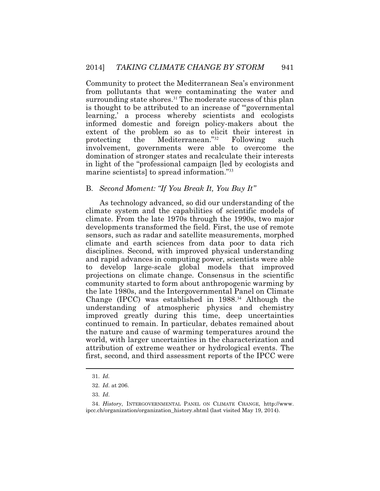Community to protect the Mediterranean Sea's environment from pollutants that were contaminating the water and surrounding state [shores.](https://shores.31)<sup>31</sup> The moderate success of this plan is thought to be attributed to an increase of "'governmental learning,' a process whereby scientists and ecologists informed domestic and foreign policy-makers about the extent of the problem so as to elicit their interest in protecting the Mediterranean."<sup>32</sup> Following such protecting the Mediterranean."<sup>32</sup> Following such involvement, governments were able to overcome the domination of stronger states and recalculate their interests in light of the "professional campaign [led by ecologists and marine scientists] to spread information."<sup>33</sup>

#### B. *Second Moment: "If You Break It, You Buy It"*

As technology advanced, so did our understanding of the climate system and the capabilities of scientific models of climate. From the late 1970s through the 1990s, two major developments transformed the field. First, the use of remote sensors, such as radar and satellite measurements, morphed climate and earth sciences from data poor to data rich disciplines. Second, with improved physical understanding and rapid advances in computing power, scientists were able to develop large-scale global models that improved projections on climate change. Consensus in the scientific community started to form about anthropogenic warming by the late 1980s, and the Intergovernmental Panel on Climate Change (IPCC) was established in  $1988^{34}$  Although the understanding of atmospheric physics and chemistry improved greatly during this time, deep uncertainties continued to remain. In particular, debates remained about the nature and cause of warming temperatures around the world, with larger uncertainties in the characterization and attribution of extreme weather or hydrological events. The first, second, and third assessment reports of the IPCC were

33. *Id*.

<sup>31.</sup> *Id.*

 <sup>32.</sup> *Id*. at 206.

 <sup>34.</sup> *History*, INTERGOVERNMENTAL PANEL ON CLIMATE CHANGE, <http://www>. ipcc.ch/organization/organization\_history.shtml (last visited May 19, 2014).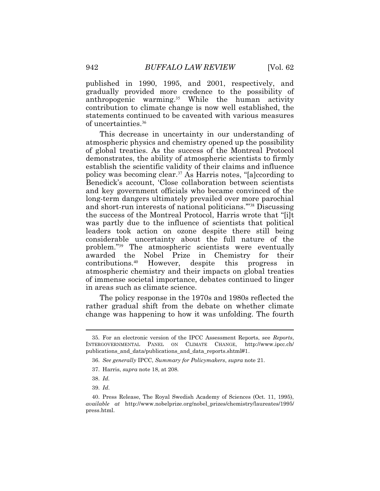published in 1990, 1995, and 2001, respectively, and gradually provided more credence to the possibility of anthropogenic [warming.](https://warming.35)<sup>35</sup> While the human activity contribution to climate change is now well established, the statements continued to be caveated with various measures of [uncertainties.](https://uncertainties.36)<sup>36</sup>

This decrease in uncertainty in our understanding of atmospheric physics and chemistry opened up the possibility of global treaties. As the success of the Montreal Protocol demonstrates, the ability of atmospheric scientists to firmly establish the scientific validity of their claims and influence policy was becoming [clear.](https://clear.37)<sup>37</sup> As Harris notes, "[a]ccording to Benedick's account, 'Close collaboration between scientists and key government officials who became convinced of the long-term dangers ultimately prevailed over more parochial and short-run interests of national politicians.'"<sup>38</sup> Discussing the success of the Montreal Protocol, Harris wrote that "[i]t was partly due to the influence of scientists that political leaders took action on ozone despite there still being considerable uncertainty about the full nature of the problem."<sup>39</sup> The atmospheric scientists were eventually awarded the Nobel Prize in Chemistry for their<br>contributions.<sup>40</sup> However, despite this progress in However, despite this progress in atmospheric chemistry and their impacts on global treaties of immense societal importance, debates continued to linger in areas such as climate science.

The policy response in the 1970s and 1980s reflected the rather gradual shift from the debate on whether climate change was happening to how it was unfolding. The fourth

 publications\_and\_data/publications\_and\_data\_reports.shtml#1. 35. For an electronic version of the IPCC Assessment Reports, see *Reports*, INTERGOVERNMENTAL PANEL ON CLIMATE CHANGE, <http://www.ipcc.ch>/

 36. *See generally* IPCC, *Summary for Policymakers*, *supra* note 21.

 37. Harris, *supra* note 18, at 208.

 <sup>38.</sup> *Id.*

 <sup>39.</sup> *Id*.

<sup>40.</sup> Press Release, The Royal Swedish Academy of Sciences (Oct. 11, 1995), *available at* [http://www.nobelprize.org/nobel\\_prizes/chemistry/laureates/1995](http://www.nobelprize.org/nobel_prizes/chemistry/laureates/1995)/ press.html.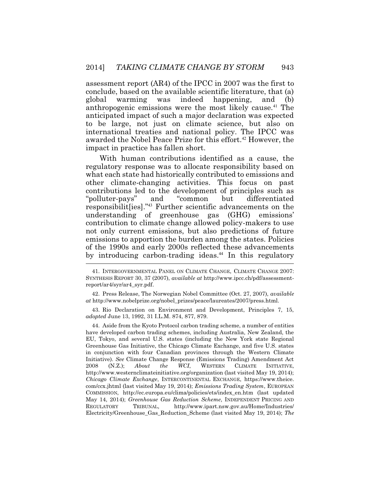assessment report (AR4) of the IPCC in 2007 was the first to conclude, based on the available scientific literature, that (a) global warming was indeed happening, and (b) anthropogenic emissions were the most likely [cause.](https://cause.41)<sup>41</sup> The anticipated impact of such a major declaration was expected to be large, not just on climate science, but also on international treaties and national policy. The IPCC was awarded the Nobel Peace Prize for this [effort.](https://effort.42)<sup>42</sup> However, the impact in practice has fallen short.

With human contributions identified as a cause, the regulatory response was to allocate responsibility based on what each state had historically contributed to emissions and other climate-changing activities. This focus on past contributions led to the development of principles such as "polluter-pays" and "common but differentiated responsibilit[ies]."<sup>43</sup> Further scientific advancements on the understanding of greenhouse gas (GHG) emissions' contribution to climate change allowed policy-makers to use not only current emissions, but also predictions of future emissions to apportion the burden among the states. Policies of the 1990s and early 2000s reflected these advancements by introducing carbon-trading [ideas.](https://ideas.44)<sup>44</sup> In this regulatory

42. Press Release, The Norwegian Nobel Committee (Oct. 27, 2007), *available at* [http://www.nobelprize.org/nobel\\_prizes/peace/laureates/2007/press.html.](http://www.nobelprize.org/nobel_prizes/peace/laureates/2007/press.html)

 43. Rio Declaration on Environment and Development, Principles 7, 15, *adopted* June 13, 1992, 31 I.L.M. 874, 877, 879.

 44. Aside from the Kyoto Protocol carbon trading scheme, a number of entities have developed carbon trading schemes, including Australia, New Zealand, the EU, Tokyo, and several U.S. states (including the New York state Regional Greenhouse Gas Initiative, the Chicago Climate Exchange, and five U.S. states in conjunction with four Canadian provinces through the Western Climate Initiative). *See* Climate Change Response (Emissions Trading) Amendment Act 2008 (N.Z.); *About the WCI*, WESTERN CLIMATE INITIATIVE, <http://www.westernclimateinitiative.org/organization>(last visited May 19, 2014); *Chicago Climate Exchange*, INTERCONTINENTAL EXCHANGE, <https://www.theice>. com/ccx.jhtml (last visited May 19, 2014); *Emissions Trading System*, EUROPEAN COMMISSION, [http://ec.europa.eu/clima/policies/ets/index\\_en.htm](http://ec.europa.eu/clima/policies/ets/index_en.htm) (last updated May 14, 2014); *Greenhouse Gas Reduction Scheme*, INDEPENDENT PRICING AND REGULATORY TRIBUNAL, <http://www.ipart.nsw.gov.au/Home/Industries>/ Electricity/Greenhouse\_Gas\_Reduction\_Scheme (last visited May 19, 2014); *The* 

<sup>41.</sup> INTERGOVERNMENTAL PANEL ON CLIMATE CHANGE, CLIMATE CHANGE 2007: SYNTHESIS REPORT 30, 37 (2007), *available at* <http://www.ipcc.ch/pdf/assessment>report/ar4/syr/ar4\_syr.pdf.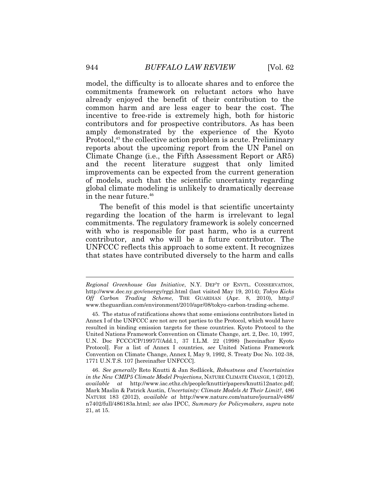in the near [future.](https://future.46)<sup>46</sup> model, the difficulty is to allocate shares and to enforce the commitments framework on reluctant actors who have already enjoyed the benefit of their contribution to the common harm and are less eager to bear the cost. The incentive to free-ride is extremely high, both for historic contributors and for prospective contributors. As has been amply demonstrated by the experience of the Kyoto Protocol,<sup>45</sup> the collective action problem is acute. Preliminary reports about the upcoming report from the UN Panel on Climate Change (i.e., the Fifth Assessment Report or AR5) and the recent literature suggest that only limited improvements can be expected from the current generation of models, such that the scientific uncertainty regarding global climate modeling is unlikely to dramatically decrease

The benefit of this model is that scientific uncertainty regarding the location of the harm is irrelevant to legal commitments. The regulatory framework is solely concerned with who is responsible for past harm, who is a current contributor, and who will be a future contributor. The UNFCCC reflects this approach to some extent. It recognizes that states have contributed diversely to the harm and calls

 46. *See generally* Reto Knutti & Jan Sedlácek, *Robustness and Uncertainties in the New CMIP5 Climate Model Projections*, NATURE CLIMATE CHANGE, 1 (2012), *available at* <http://www.iac.ethz.ch/people/knuttir/papers/knutti12natcc.pdf>; Mark Maslin & Patrick Austin, *Uncertainty: Climate Models At Their Limit?*, 486 NATURE 183 (2012), *available at* <http://www.nature.com/nature/journal/v486>/ n7402/full/486183a.html; *see also* IPCC, *Summary for Policymakers*, *supra* note 21, at 15.

*Regional Greenhouse Gas Initiative*, N.Y. DEP'T OF ENVTL. CONSERVATION, <http://www.dec.ny.gov/energy/rggi.html> (last visited May 19, 2014); *Tokyo Kicks Off Carbon Trading Scheme*, THE GUARDIAN (Apr. 8, 2010), http:// <www.theguardian.com/environment/2010/apr/08/tokyo-carbon-trading-scheme>.

<sup>45.</sup> The status of ratifications shows that some emissions contributors listed in Annex I of the UNFCCC are not are not parties to the Protocol, which would have resulted in binding emission targets for these countries. Kyoto Protocol to the United Nations Framework Convention on Climate Change, art. 2, Dec. 10, 1997, U.N. Doc FCCC/CP/1997/7/Add.1, 37 I.L.M. 22 (1998) [hereinafter Kyoto Protocol]. For a list of Annex I countries, *see* United Nations Framework Convention on Climate Change, Annex I, May 9, 1992, S. Treaty Doc No. 102-38, 1771 U.N.T.S. 107 [hereinafter UNFCCC].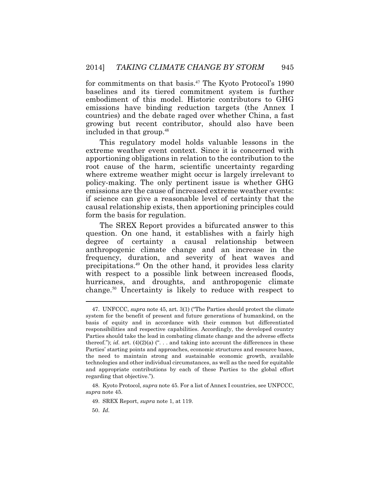for commitments on that [basis.](https://basis.47)<sup>47</sup> The Kyoto Protocol's 1990 baselines and its tiered commitment system is further embodiment of this model. Historic contributors to GHG emissions have binding reduction targets (the Annex I countries) and the debate raged over whether China, a fast growing but recent contributor, should also have been included in that [group.](https://group.48)<sup>48</sup>

 where extreme weather might occur is largely irrelevant to This regulatory model holds valuable lessons in the extreme weather event context. Since it is concerned with apportioning obligations in relation to the contribution to the root cause of the harm, scientific uncertainty regarding policy-making. The only pertinent issue is whether GHG emissions are the cause of increased extreme weather events: if science can give a reasonable level of certainty that the causal relationship exists, then apportioning principles could form the basis for regulation.

The SREX Report provides a bifurcated answer to this question. On one hand, it establishes with a fairly high degree of certainty a causal relationship between anthropogenic climate change and an increase in the frequency, duration, and severity of heat waves and [precipitations.](https://precipitations.49)<sup>49</sup> On the other hand, it provides less clarity with respect to a possible link between increased floods, hurricanes, and droughts, and anthropogenic climate [change.](https://change.50)<sup>50</sup> Uncertainty is likely to reduce with respect to

48. Kyoto Protocol, *supra* note 45. For a list of Annex I countries, see UNFCCC, *supra* note 45.

49. SREX Report, *supra* note 1, at 119.

50. *Id.* 

 Parties' starting points and approaches, economic structures and resource bases, 47. UNFCCC, *supra* note 45, art. 3(1) ("The Parties should protect the climate system for the benefit of present and future generations of humankind, on the basis of equity and in accordance with their common but differentiated responsibilities and respective capabilities. Accordingly, the developed country Parties should take the lead in combating climate change and the adverse effects thereof."); *id.* art.  $(4)(2)(a)$  ("... and taking into account the differences in these the need to maintain strong and sustainable economic growth, available technologies and other individual circumstances, as well as the need for equitable and appropriate contributions by each of these Parties to the global effort regarding that objective.").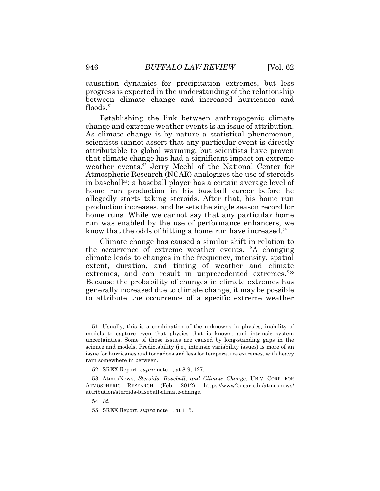causation dynamics for precipitation extremes, but less progress is expected in the understanding of the relationship between climate change and increased hurricanes and [floods.](https://floods.51) $51$ 

Establishing the link between anthropogenic climate change and extreme weather events is an issue of attribution. As climate change is by nature a statistical phenomenon, scientists cannot assert that any particular event is directly attributable to global warming, but scientists have proven that climate change has had a significant impact on extreme weather [events.](https://events.52)<sup>52</sup> Jerry Meehl of the National Center for Atmospheric Research (NCAR) analogizes the use of steroids in baseball<sup>53</sup>: a baseball player has a certain average level of home run production in his baseball career before he allegedly starts taking steroids. After that, his home run production increases, and he sets the single season record for home runs. While we cannot say that any particular home run was enabled by the use of performance enhancers, we know that the odds of hitting a home run have [increased.](https://increased.54)<sup>54</sup>

Climate change has caused a similar shift in relation to the occurrence of extreme weather events. "A changing climate leads to changes in the frequency, intensity, spatial extent, duration, and timing of weather and climate extremes, and can result in unprecedented extremes."<sup>55</sup> Because the probability of changes in climate extremes has generally increased due to climate change, it may be possible to attribute the occurrence of a specific extreme weather

52. SREX Report, *supra* note 1, at 8-9, 127.

 53. AtmosNews, *Steroids, Baseball, and Climate Change*, UNIV. CORP. FOR ATMOSPHERIC RESEARCH (Feb. 2012), <https://www2.ucar.edu/atmosnews>/ attribution/steroids-baseball-climate-change.

 science and models. Predictability (i.e., intrinsic variability issues) is more of an 51. Usually, this is a combination of the unknowns in physics, inability of models to capture even that physics that is known, and intrinsic system uncertainties. Some of these issues are caused by long-standing gaps in the issue for hurricanes and tornadoes and less for temperature extremes, with heavy rain somewhere in between.

 <sup>54.</sup> *Id.*

 <sup>55.</sup> SREX Report, *supra* note 1, at 115.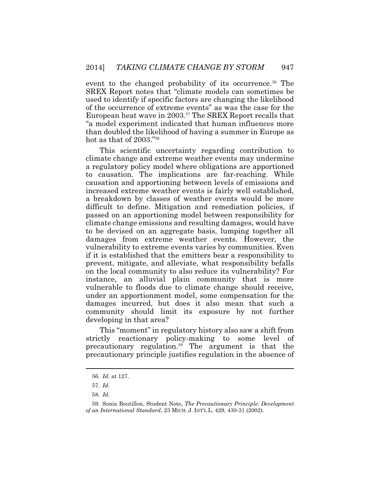event to the changed probability of its [occurrence.](https://occurrence.56)<sup>56</sup> The SREX Report notes that "climate models can sometimes be used to identify if specific factors are changing the likelihood of the occurrence of extreme events" as was the case for the European heat wave in 2003.<sup>57</sup> The SREX Report recalls that "a model experiment indicated that human influences more than doubled the likelihood of having a summer in Europe as hot as that of 2003."<sup>58</sup>

 developing in that area? This scientific uncertainty regarding contribution to climate change and extreme weather events may undermine a regulatory policy model where obligations are apportioned to causation. The implications are far-reaching. While causation and apportioning between levels of emissions and increased extreme weather events is fairly well established, a breakdown by classes of weather events would be more difficult to define. Mitigation and remediation policies, if passed on an apportioning model between responsibility for climate change emissions and resulting damages, would have to be devised on an aggregate basis, lumping together all damages from extreme weather events. However, the vulnerability to extreme events varies by communities. Even if it is established that the emitters bear a responsibility to prevent, mitigate, and alleviate, what responsibility befalls on the local community to also reduce its vulnerability? For instance, an alluvial plain community that is more vulnerable to floods due to climate change should receive, under an apportionment model, some compensation for the damages incurred, but does it also mean that such a community should limit its exposure by not further

This "moment" in regulatory history also saw a shift from strictly reactionary policy-making to some level of precautionary [regulation.](https://regulation.59)<sup>59</sup> The argument is that the precautionary principle justifies regulation in the absence of

<sup>56.</sup> *Id.* at 127.

 <sup>57.</sup> *Id.*

 <sup>58.</sup> *Id.*

 <sup>59.</sup> Sonia Boutillon, Student Note, *The Precautionary Principle: Development of an International Standard*, 23 MICH. J. INT'L L. 429, 430-31 (2002).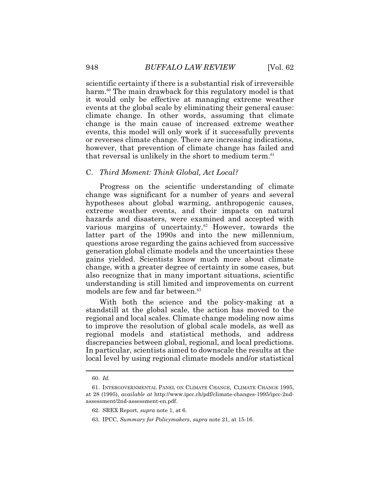scientific certainty if there is a substantial risk of irreversible harm.<sup>60</sup> The main drawback for this regulatory model is that it would only be effective at managing extreme weather events at the global scale by eliminating their general cause: climate change. In other words, assuming that climate change is the main cause of increased extreme weather events, this model will only work if it successfully prevents or reverses climate change. There are increasing indications, however, that prevention of climate change has failed and that reversal is unlikely in the short to medium term.<sup>61</sup>

#### C. *Third Moment: Think Global, Act Local?*

 latter part of the 1990s and into the new millennium, Progress on the scientific understanding of climate change was significant for a number of years and several hypotheses about global warming, anthropogenic causes, extreme weather events, and their impacts on natural hazards and disasters, were examined and accepted with various margins of [uncertainty.](https://uncertainty.62) $62$  However, towards the questions arose regarding the gains achieved from successive generation global climate models and the uncertainties these gains yielded. Scientists know much more about climate change, with a greater degree of certainty in some cases, but also recognize that in many important situations, scientific understanding is still limited and improvements on current models are few and far [between.](https://between.63)<sup>63</sup>

 With both the science and the policy-making at a standstill at the global scale, the action has moved to the regional and local scales. Climate change modeling now aims to improve the resolution of global scale models, as well as regional models and statistical methods, and address discrepancies between global, regional, and local predictions. In particular, scientists aimed to downscale the results at the local level by using regional climate models and/or statistical

- 62. SREX Report, *supra* note 1, at 6.
- 63. IPCC, *Summary for Policymakers*, *supra* note 21, at 15-16.

<sup>60.</sup> *Id.*

 <sup>61.</sup> INTERGOVERNMENTAL PANEL ON CLIMATE CHANGE, CLIMATE CHANGE 1995, at 28 (1995), *available at* <http://www.ipcc.ch/pdf/climate-changes-1995/ipcc-2nd>assessment/2nd-assessment-en.pdf.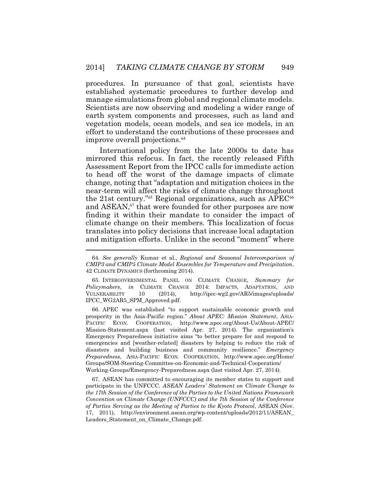procedures. In pursuance of that goal, scientists have established systematic procedures to further develop and manage simulations from global and regional climate models. Scientists are now observing and modeling a wider range of earth system components and processes, such as land and vegetation models, ocean models, and sea ice models, in an effort to understand the contributions of these processes and improve overall [projections.](https://projections.64)<sup>64</sup>

International policy from the late 2000s to date has mirrored this refocus. In fact, the recently released Fifth Assessment Report from the IPCC calls for immediate action to head off the worst of the damage impacts of climate change, noting that "adaptation and mitigation choices in the near-term will affect the risks of climate change throughout the 21st century."<sup>65</sup> Regional organizations, such as  $APEC^{66}$ and ASEAN,<sup>67</sup> that were founded for other purposes are now finding it within their mandate to consider the impact of climate change on their members. This localization of focus translates into policy decisions that increase local adaptation and mitigation efforts. Unlike in the second "moment" where

65. INTERGOVERNMENTAL PANEL ON CLIMATE CHANGE, *Summary for Policymakers*, *in* CLIMATE CHANGE 2014: IMPACTS, ADAPTATION, AND VULNERABILITY 10 (2014), <http://ipcc-wg2.gov/AR5/images/uploads>/ IPCC\_WG2AR5\_SPM\_Approved.pdf.

66. APEC was established "to support sustainable economic growth and prosperity in the Asia-Pacific region." *About APEC: Mission Statement*, ASIA-PACIFIC ECON. COOPERATION, <http://www.apec.org/About-Us/About-APEC>/ Mission-Statement.aspx (last visited Apr. 27, 2014). The organization's Emergency Preparedness initiative aims "to better prepare for and respond to emergencies and [weather-related] disasters by helping to reduce the risk of disasters and building business and community resilience." *Emergency Preparedness*, ASIA-PACIFIC ECON. COOPERATION, <http://www.apec.org/Home>/ Groups/SOM-Steering-Committee-on-Economic-and-Technical-Cooperation/ Working-Groups/Emergency-Preparedness.aspx (last visited Apr. 27, 2014).

67. ASEAN has committed to encouraging its member states to support and participate in the UNFCCC. *ASEAN Leaders' Statement on Climate Change to the 17th Session of the Conference of the Parties to the United Nations Framework Convention on Climate Change (UNFCCC) and the 7th Session of the Conference of Parties Serving as the Meeting of Parties to the Kyoto Protocol*, ASEAN (Nov. 17, 2011), <http://environment.asean.org/wp-content/uploads/2012/11/ASEAN>\_ Leaders\_Statement\_on\_Climate\_Change.pdf.

<sup>64.</sup> *See generally* Kumar et al., *Regional and Seasonal Intercomparison of CMIP3 and CMIP5 Climate Model Ensembles for Temperature and Precipitation*, 42 CLIMATE DYNAMICS (forthcoming 2014).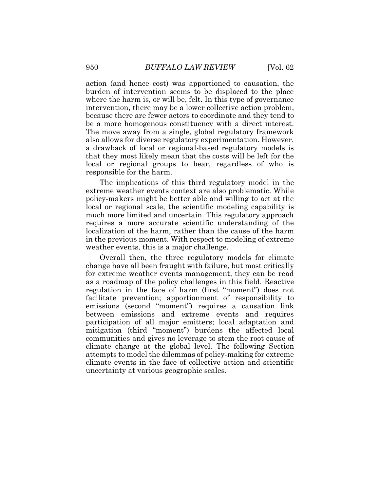action (and hence cost) was apportioned to causation, the burden of intervention seems to be displaced to the place where the harm is, or will be, felt. In this type of governance intervention, there may be a lower collective action problem, because there are fewer actors to coordinate and they tend to be a more homogenous constituency with a direct interest. The move away from a single, global regulatory framework also allows for diverse regulatory experimentation. However, a drawback of local or regional-based regulatory models is that they most likely mean that the costs will be left for the local or regional groups to bear, regardless of who is responsible for the harm.

The implications of this third regulatory model in the extreme weather events context are also problematic. While policy-makers might be better able and willing to act at the local or regional scale, the scientific modeling capability is much more limited and uncertain. This regulatory approach requires a more accurate scientific understanding of the localization of the harm, rather than the cause of the harm in the previous moment. With respect to modeling of extreme weather events, this is a major challenge.

Overall then, the three regulatory models for climate change have all been fraught with failure, but most critically for extreme weather events management, they can be read as a roadmap of the policy challenges in this field. Reactive regulation in the face of harm (first "moment") does not facilitate prevention; apportionment of responsibility to emissions (second "moment") requires a causation link between emissions and extreme events and requires participation of all major emitters; local adaptation and mitigation (third "moment") burdens the affected local communities and gives no leverage to stem the root cause of climate change at the global level. The following Section attempts to model the dilemmas of policy-making for extreme climate events in the face of collective action and scientific uncertainty at various geographic scales.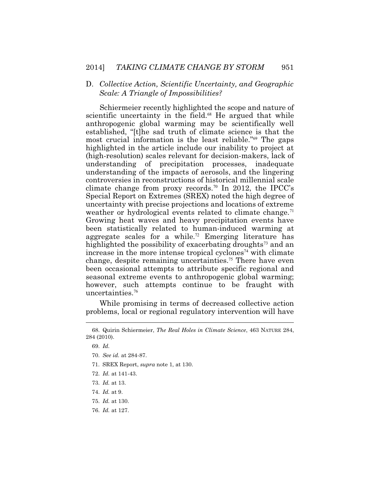### D. *Collective Action, Scientific Uncertainty, and Geographic Scale: A Triangle of Impossibilities?*

Schiermeier recently highlighted the scope and nature of scientific uncertainty in the [field.](https://field.68)<sup>68</sup> He argued that while anthropogenic global warming may be scientifically well established, "[t]he sad truth of climate science is that the most crucial information is the least reliable."<sup>69</sup> The gaps highlighted in the article include our inability to project at (high-resolution) scales relevant for decision-makers, lack of understanding of precipitation processes, inadequate understanding of the impacts of aerosols, and the lingering controversies in reconstructions of historical millennial scale climate change from proxy [records.](https://records.70)<sup>70</sup> In 2012, the IPCC's Special Report on Extremes (SREX) noted the high degree of uncertainty with precise projections and locations of extreme weather or hydrological events related to climate [change.](https://change.71)<sup>71</sup> Growing heat waves and heavy precipitation events have been statistically related to human-induced warming at aggregate scales for a [while.](https://while.72)<sup>72</sup> Emerging literature has highlighted the possibility of exacerbating droughts<sup> $73$ </sup> and an increase in the more intense tropical cyclones<sup> $74$ </sup> with climate change, despite remaining [uncertainties.](https://uncertainties.75)<sup>75</sup> There have even been occasional attempts to attribute specific regional and seasonal extreme events to anthropogenic global warming; however, such attempts continue to be fraught with [uncertainties.](https://uncertainties.76)<sup>76</sup>

While promising in terms of decreased collective action problems, local or regional regulatory intervention will have

- 70. *See id.* at 284-87.
- 71. SREX Report, *supra* note 1, at 130.
- 72. *Id.* at 141-43.
- 73. *Id.* at 13.
- 74. *Id.* at 9.
- 75. *Id.* at 130.
- 76. *Id.* at 127.

<sup>68.</sup> Quirin Schiermeier, *The Real Holes in Climate Science*, 463 NATURE 284, 284 (2010).

 <sup>69.</sup> *Id.*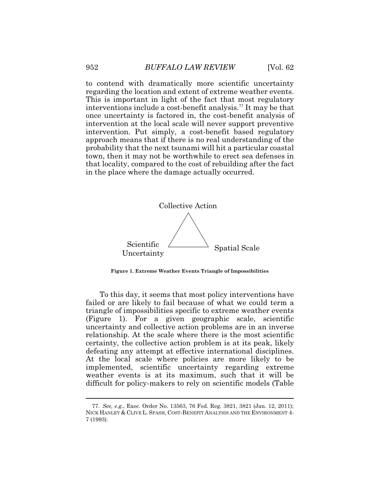to contend with dramatically more scientific uncertainty regarding the location and extent of extreme weather events. This is important in light of the fact that most regulatory interventions include a cost-benefit [analysis.](https://analysis.77)<sup>77</sup> It may be that once uncertainty is factored in, the cost-benefit analysis of intervention at the local scale will never support preventive intervention. Put simply, a cost-benefit based regulatory approach means that if there is no real understanding of the probability that the next tsunami will hit a particular coastal town, then it may not be worthwhile to erect sea defenses in that locality, compared to the cost of rebuilding after the fact in the place where the damage actually occurred.



**Figure 1. Extreme Weather Events Triangle of Impossibilities** 

To this day, it seems that most policy interventions have failed or are likely to fail because of what we could term a triangle of impossibilities specific to extreme weather events (Figure 1). For a given geographic scale, scientific uncertainty and collective action problems are in an inverse relationship. At the scale where there is the most scientific certainty, the collective action problem is at its peak, likely defeating any attempt at effective international disciplines. At the local scale where policies are more likely to be implemented, scientific uncertainty regarding extreme weather events is at its maximum, such that it will be difficult for policy-makers to rely on scientific models (Table

 $\overline{a}$ 

 NICK HANLEY & CLIVE L. SPASH, COST-BENEFIT ANALYSIS AND THE ENVIRONMENT 4- 77. *See, e.g.*, Exec. Order No. 13563, 76 Fed. Reg. 3821, 3821 (Jan. 12, 2011); 7 (1993).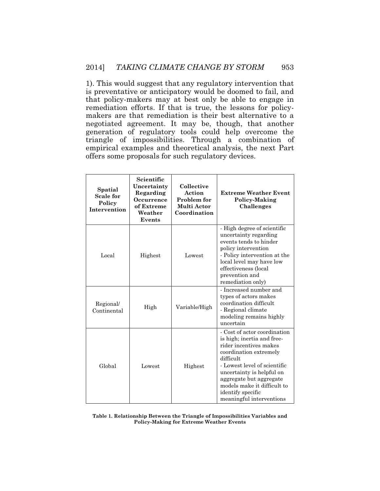1). This would suggest that any regulatory intervention that is preventative or anticipatory would be doomed to fail, and that policy-makers may at best only be able to engage in remediation efforts. If that is true, the lessons for policymakers are that remediation is their best alternative to a negotiated agreement. It may be, though, that another generation of regulatory tools could help overcome the triangle of impossibilities. Through a combination of empirical examples and theoretical analysis, the next Part offers some proposals for such regulatory devices.

| Spatial<br><b>Scale for</b><br>Policy<br><b>Intervention</b> | Scientific<br>Uncertainty<br>Regarding<br><b>Occurrence</b><br>of Extreme<br>Weather<br>Events | Collective<br>Action<br><b>Problem for</b><br>Multi Actor<br>Coordination | <b>Extreme Weather Event</b><br>Policy-Making<br>Challenges                                                                                                                                                                                                                                         |  |
|--------------------------------------------------------------|------------------------------------------------------------------------------------------------|---------------------------------------------------------------------------|-----------------------------------------------------------------------------------------------------------------------------------------------------------------------------------------------------------------------------------------------------------------------------------------------------|--|
| Local                                                        | Highest                                                                                        | Lowest                                                                    | - High degree of scientific<br>uncertainty regarding<br>events tends to hinder<br>policy intervention<br>- Policy intervention at the<br>local level may have low<br>effectiveness (local<br>prevention and<br>remediation only)                                                                    |  |
| Regional/<br>Continental                                     | High                                                                                           | Variable/High                                                             | - Increased number and<br>types of actors makes<br>coordination difficult<br>- Regional climate<br>modeling remains highly<br>uncertain                                                                                                                                                             |  |
| Global                                                       | Lowest                                                                                         | Highest                                                                   | - Cost of actor coordination<br>is high; inertia and free-<br>rider incentives makes<br>coordination extremely<br>difficult<br>- Lowest level of scientific<br>uncertainty is helpful on<br>aggregate but aggregate<br>models make it difficult to<br>identify specific<br>meaningful interventions |  |

#### **Table 1. Relationship Between the Triangle of Impossibilities Variables and Policy-Making for Extreme Weather Events**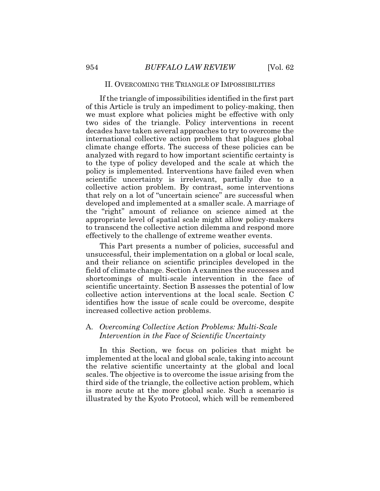#### II. OVERCOMING THE TRIANGLE OF IMPOSSIBILITIES

If the triangle of impossibilities identified in the first part of this Article is truly an impediment to policy-making, then we must explore what policies might be effective with only two sides of the triangle. Policy interventions in recent decades have taken several approaches to try to overcome the international collective action problem that plagues global climate change efforts. The success of these policies can be analyzed with regard to how important scientific certainty is to the type of policy developed and the scale at which the policy is implemented. Interventions have failed even when scientific uncertainty is irrelevant, partially due to a collective action problem. By contrast, some interventions that rely on a lot of "uncertain science" are successful when developed and implemented at a smaller scale. A marriage of the "right" amount of reliance on science aimed at the appropriate level of spatial scale might allow policy-makers to transcend the collective action dilemma and respond more effectively to the challenge of extreme weather events.

This Part presents a number of policies, successful and unsuccessful, their implementation on a global or local scale, and their reliance on scientific principles developed in the field of climate change. Section A examines the successes and shortcomings of multi-scale intervention in the face of scientific uncertainty. Section B assesses the potential of low collective action interventions at the local scale. Section C identifies how the issue of scale could be overcome, despite increased collective action problems.

## A. *Overcoming Collective Action Problems: Multi-Scale Intervention in the Face of Scientific Uncertainty*

In this Section, we focus on policies that might be implemented at the local and global scale, taking into account the relative scientific uncertainty at the global and local scales. The objective is to overcome the issue arising from the third side of the triangle, the collective action problem, which is more acute at the more global scale. Such a scenario is illustrated by the Kyoto Protocol, which will be remembered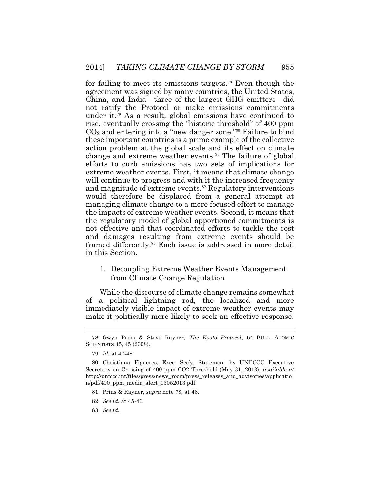2014] *TAKING CLIMATE CHANGE BY STORM* 955<br>for failing to meet its emissions targets.<sup>78</sup> Even though the<br>agreement was signed by many countries, the United States,<br>China, and India—three of the largest GHG mitters—did<br>no for failing to meet its emissions targets.<sup>78</sup> Even though the agreement was signed by many countries, the United States, China, and India—three of the largest GHG emitters—did not ratify the Protocol or make emissions commitments under it.<sup>79</sup> As a result, global emissions have continued to rise, eventually crossing the "historic threshold" of 400 ppm  $CO<sub>2</sub>$  and entering into a "new danger zone."<sup>80</sup> Failure to bind these important countries is a prime example of the collective action problem at the global scale and its effect on climate change and extreme weather events.<sup>81</sup> The failure of global efforts to curb emissions has two sets of implications for extreme weather events. First, it means that climate change will continue to progress and with it the increased frequency and magnitude of extreme events.<sup>82</sup> Regulatory interventions would therefore be displaced from a general attempt at managing climate change to a more focused effort to manage the impacts of extreme weather events. Second, it means that the regulatory model of global apportioned commitments is not effective and that coordinated efforts to tackle the cost and damages resulting from extreme events should be framed differently.<sup>83</sup> Each issue is addressed in more detail in this Section.

#### from Climate Change Regulation 1. Decoupling Extreme Weather Events Management

While the discourse of climate change remains somewhat of a political lightning rod, the localized and more immediately visible impact of extreme weather events may make it politically more likely to seek an effective response.

83. *See id.* 

<sup>78.</sup> Gwyn Prins & Steve Rayner, *The Kyoto Protocol*, 64 BULL. ATOMIC SCIENTISTS 45, 45 (2008).

<sup>79.</sup> *Id.* at 47-48.

<sup>80.</sup> Christiana Figueres, Exec. Sec'y, Statement by UNFCCC Executive Secretary on Crossing of 400 ppm CO2 Threshold (May 31, 2013), *available at*  [http://unfccc.int/files/press/news\\_room/press\\_releases\\_and\\_advisories/applicatio](http://unfccc.int/files/press/news_room/press_releases_and_advisories/applicatio) n/pdf/400\_ppm\_media\_alert\_13052013.pdf.

<sup>81.</sup> Prins & Rayner, *supra* note 78, at 46.

 <sup>82.</sup> *See id.* at 45-46.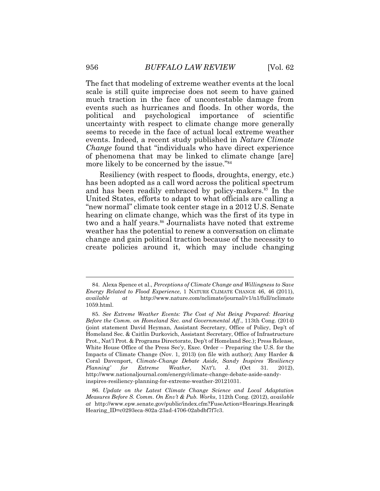The fact that modeling of extreme weather events at the local scale is still quite imprecise does not seem to have gained much traction in the face of uncontestable damage from events such as hurricanes and floods. In other words, the political and psychological importance of scientific uncertainty with respect to climate change more generally seems to recede in the face of actual local extreme weather events. Indeed, a recent study published in *Nature Climate Change* found that "individuals who have direct experience of phenomena that may be linked to climate change [are] more likely to be concerned by the issue."<sup>84</sup>

Resiliency (with respect to floods, droughts, energy, etc.) has been adopted as a call word across the political spectrum and has been readily embraced by [policy-makers.](https://policy-makers.85)<sup>85</sup> In the United States, efforts to adapt to what officials are calling a "new normal" climate took center stage in a 2012 U.S. Senate hearing on climate change, which was the first of its type in two and a half [years.](https://years.86)<sup>86</sup> Journalists have noted that extreme weather has the potential to renew a conversation on climate change and gain political traction because of the necessity to create policies around it, which may include changing

<sup>84.</sup> Alexa Spence et al., *Perceptions of Climate Change and Willingness to Save Energy Related to Flood Experience*, 1 NATURE CLIMATE CHANGE 46, 46 (2011), *available at* <http://www.nature.com/nclimate/journal/v1/n1/full/nclimate> 1059.html.

 <sup>85.</sup> *See Extreme Weather Events: The Cost of Not Being Prepared: Hearing Before the Comm. on Homeland Sec. and Governmental Aff.*, 113th Cong. (2014) (joint statement David Heyman, Assistant Secretary, Office of Policy, Dep't of Homeland Sec. & Caitlin Durkovich, Assistant Secretary, Office of Infrastructure Prot., Nat'l Prot. & Programs Directorate, Dep't of Homeland Sec.); Press Release, White House Office of the Press Sec'y, Exec. Order – Preparing the U.S. for the Impacts of Climate Change (Nov. 1, 2013) (on file with author); Amy Harder & Coral Davenport, *Climate-Change Debate Aside, Sandy Inspires 'Resiliency Planning' for Extreme Weather*, NAT'L J. (Oct 31. 2012), <http://www.nationaljournal.com/energy/climate-change-debate-aside-sandy>inspires-resiliency-planning-for-extreme-weather-20121031.

<sup>86.</sup> *Update on the Latest Climate Change Science and Local Adaptation Measures Before S. Comm. On Env't & Pub. Works*, 112th Cong. (2012), *available at* <http://www.epw.senate.gov/public/index.cfm?FuseAction=Hearings.Hearing>& Hearing\_ID=c0293eca-802a-23ad-4706-02abdbf7f7c3.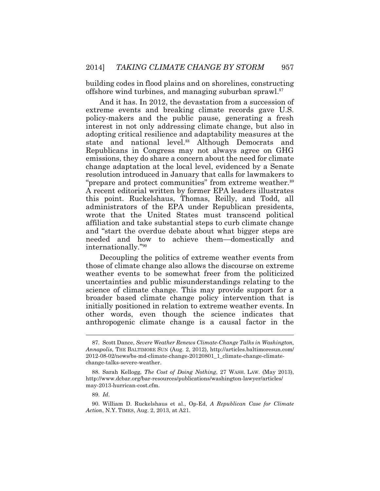building codes in flood plains and on shorelines, constructing offshore wind turbines, and managing suburban [sprawl.](https://sprawl.87)<sup>87</sup>

And it has. In 2012, the devastation from a succession of extreme events and breaking climate records gave U.S. policy-makers and the public pause, generating a fresh interest in not only addressing climate change, but also in adopting critical resilience and adaptability measures at the state and national [level.](https://level.88)<sup>88</sup> Although Democrats and Republicans in Congress may not always agree on GHG emissions, they do share a concern about the need for climate change adaptation at the local level, evidenced by a Senate resolution introduced in January that calls for lawmakers to "prepare and protect communities" from extreme [weather.](https://weather.89)<sup>89</sup> A recent editorial written by former EPA leaders illustrates this point. Ruckelshaus, Thomas, Reilly, and Todd, all administrators of the EPA under Republican presidents, wrote that the United States must transcend political affiliation and take substantial steps to curb climate change and "start the overdue debate about what bigger steps are needed and how to achieve them—domestically and internationally."<sup>90</sup>

 initially positioned in relation to extreme weather events. In Decoupling the politics of extreme weather events from those of climate change also allows the discourse on extreme weather events to be somewhat freer from the politicized uncertainties and public misunderstandings relating to the science of climate change. This may provide support for a broader based climate change policy intervention that is other words, even though the science indicates that anthropogenic climate change is a causal factor in the

 88. Sarah Kellogg, *The Cost of Doing Nothing*, 27 WASH. LAW. (May 2013), <http://www.dcbar.org/bar-resources/publications/washington-lawyer/articles>/ may-2013-hurrican-cost.cfm.

<sup>87.</sup> Scott Dance, *Severe Weather Renews Climate-Change Talks in Washington, Annapolis*, THE BALTIMORE SUN (Aug. 2, 2012), <http://articles.baltimoresun.com>/ 2012-08-02/news/bs-md-climate-change-20120801\_1\_climate-change-climatechange-talks-severe-weather.

 <sup>89.</sup> *Id*.

<sup>90.</sup> William D. Ruckelshaus et al., Op-Ed, *A Republican Case for Climate Action*, N.Y. TIMES, Aug. 2, 2013, at A21.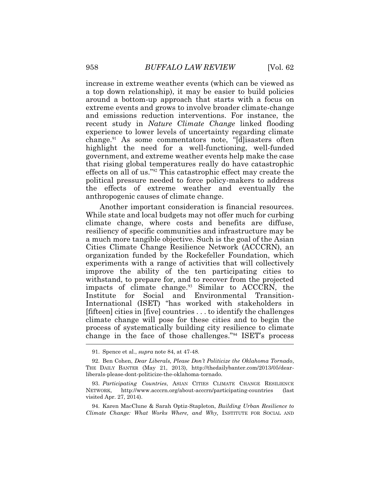increase in extreme weather events (which can be viewed as a top down relationship), it may be easier to build policies around a bottom-up approach that starts with a focus on extreme events and grows to involve broader climate-change and emissions reduction interventions. For instance, the recent study in *Nature Climate Change* linked flooding experience to lower levels of uncertainty regarding climate [change.](https://change.91)<sup>91</sup> As some commentators note, "[d]isasters often highlight the need for a well-functioning, well-funded government, and extreme weather events help make the case that rising global temperatures really do have catastrophic effects on all of us."<sup>92</sup> This catastrophic effect may create the political pressure needed to force policy-makers to address the effects of extreme weather and eventually the anthropogenic causes of climate change.

Another important consideration is financial resources. While state and local budgets may not offer much for curbing climate change, where costs and benefits are diffuse, resiliency of specific communities and infrastructure may be a much more tangible objective. Such is the goal of the Asian Cities Climate Change Resilience Network (ACCCRN), an organization funded by the Rockefeller Foundation, which experiments with a range of activities that will collectively improve the ability of the ten participating cities to withstand, to prepare for, and to recover from the projected impacts of climate [change.](https://change.93)<sup>93</sup> Similar to ACCCRN, the Institute for Social and Environmental Transition-International (ISET) "has worked with stakeholders in [fifteen] cities in [five] countries . . . to identify the challenges climate change will pose for these cities and to begin the process of systematically building city resilience to climate change in the face of those challenges."<sup>94</sup> ISET's process

91. Spence et al., *supra* note 84, at 47-48.

 92. Ben Cohen, *Dear Liberals, Please Don't Politicize the Oklahoma Tornado*, THE DAILY BANTER (May 21, 2013), <http://thedailybanter.com/2013/05/dear>liberals-please-dont-politicize-the-oklahoma-tornado.

 93. *Participating Countries*, ASIAN CITIES CLIMATE CHANGE RESILIENCE NETWORK, <http://www.acccrn.org/about-acccrn/participating-countries> (last visited Apr. 27, 2014).

94. Karen MacClune & Sarah Optiz-Stapleton, *Building Urban Resilience to Climate Change: What Works Where, and Why,* INSTITUTE FOR SOCIAL AND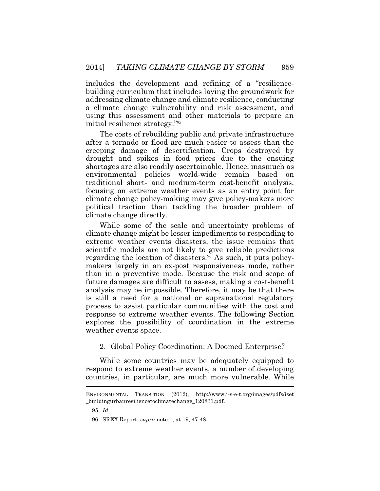includes the development and refining of a "resiliencebuilding curriculum that includes laying the groundwork for addressing climate change and climate resilience, conducting a climate change vulnerability and risk assessment, and using this assessment and other materials to prepare an initial resilience strategy."<sup>95</sup>

The costs of rebuilding public and private infrastructure after a tornado or flood are much easier to assess than the creeping damage of desertification. Crops destroyed by drought and spikes in food prices due to the ensuing shortages are also readily ascertainable. Hence, inasmuch as environmental policies world-wide remain based on traditional short- and medium-term cost-benefit analysis, focusing on extreme weather events as an entry point for climate change policy-making may give policy-makers more political traction than tackling the broader problem of climate change directly.

While some of the scale and uncertainty problems of climate change might be lesser impediments to responding to extreme weather events disasters, the issue remains that scientific models are not likely to give reliable predictions regarding the location of [disasters.](https://disasters.96)<sup>96</sup> As such, it puts policymakers largely in an ex-post responsiveness mode, rather than in a preventive mode. Because the risk and scope of future damages are difficult to assess, making a cost-benefit analysis may be impossible. Therefore, it may be that there is still a need for a national or supranational regulatory process to assist particular communities with the cost and response to extreme weather events. The following Section explores the possibility of coordination in the extreme weather events space.

#### 2. Global Policy Coordination: A Doomed Enterprise?

While some countries may be adequately equipped to respond to extreme weather events, a number of developing countries, in particular, are much more vulnerable. While

ENVIRONMENTAL TRANSITION (2012), <http://www.i-s-e-t.org/images/pdfs/iset> \_buildingurbanresiliencetoclimatechange\_120831.pdf.

 <sup>95.</sup> *Id*.

 <sup>96.</sup> SREX Report, *supra* note 1, at 19, 47-48.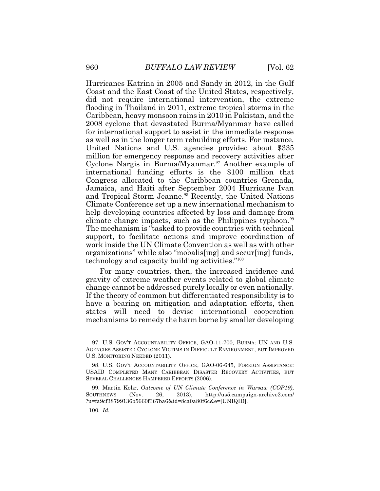Hurricanes Katrina in 2005 and Sandy in 2012, in the Gulf Coast and the East Coast of the United States, respectively, did not require international intervention, the extreme flooding in Thailand in 2011, extreme tropical storms in the Caribbean, heavy monsoon rains in 2010 in Pakistan, and the 2008 cyclone that devastated Burma/Myanmar have called for international support to assist in the immediate response as well as in the longer term rebuilding efforts. For instance, United Nations and U.S. agencies provided about \$335 million for emergency response and recovery activities after Cyclone Nargis in [Burma/Myanmar.](https://Burma/Myanmar.97)<sup>97</sup> Another example of international funding efforts is the \$100 million that Congress allocated to the Caribbean countries Grenada, Jamaica, and Haiti after September 2004 Hurricane Ivan and Tropical Storm [Jeanne.](https://Jeanne.98)<sup>98</sup> Recently, the United Nations Climate Conference set up a new international mechanism to help developing countries affected by loss and damage from climate change impacts, such as the Philippines [typhoon.](https://typhoon.99)<sup>99</sup> The mechanism is "tasked to provide countries with technical support, to facilitate actions and improve coordination of work inside the UN Climate Convention as well as with other organizations" while also "mobalis[ing] and secur[ing] funds, technology and capacity building activities."<sup>100</sup>

For many countries, then, the increased incidence and gravity of extreme weather events related to global climate change cannot be addressed purely locally or even nationally. If the theory of common but differentiated responsibility is to have a bearing on mitigation and adaptation efforts, then states will need to devise international cooperation mechanisms to remedy the harm borne by smaller developing

<sup>97.</sup> U.S. GOV'T ACCOUNTABILITY OFFICE, GAO-11-700, BURMA: UN AND U.S. AGENCIES ASSISTED CYCLONE VICTIMS IN DIFFICULT ENVIRONMENT, BUT IMPROVED U.S. MONITORING NEEDED (2011).

 <sup>98.</sup> U.S. GOV'T ACCOUNTABILITY OFFICE, GAO-06-645, FOREIGN ASSISTANCE: USAID COMPLETED MANY CARIBBEAN DISASTER RECOVERY ACTIVITIES, BUT SEVERAL CHALLENGES HAMPERED EFFORTS (2006).

 <sup>99.</sup> Martin Kohr, *Outcome of UN Climate Conference in Warsaw (COP19)*, SOUTHNEWS (Nov. 26, 2013), <http://us5.campaign-archive2.com>/ ?u=fa9cf38799136b5660f367ba6&id=8ca0a80f6c&e=[UNIQID].

 <sup>100.</sup> *Id.*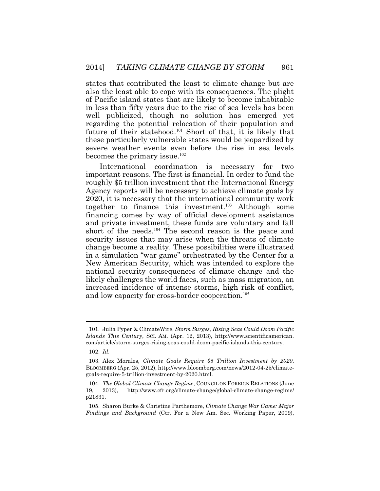states that contributed the least to climate change but are also the least able to cope with its consequences. The plight of Pacific island states that are likely to become inhabitable in less than fifty years due to the rise of sea levels has been well publicized, though no solution has emerged yet regarding the potential relocation of their population and future of their statehood.<sup>101</sup> Short of that, it is likely that these particularly vulnerable states would be jeopardized by severe weather events even before the rise in sea levels becomes the primary issue.<sup>102</sup>

International coordination is necessary for two important reasons. The first is financial. In order to fund the roughly \$5 trillion investment that the International Energy Agency reports will be necessary to achieve climate goals by 2020, it is necessary that the international community work together to finance this investment.<sup>103</sup> Although some financing comes by way of official development assistance and private investment, these funds are voluntary and fall short of the needs.<sup>104</sup> The second reason is the peace and security issues that may arise when the threats of climate change become a reality. These possibilities were illustrated in a simulation "war game" orchestrated by the Center for a New American Security, which was intended to explore the national security consequences of climate change and the likely challenges the world faces, such as mass migration, an increased incidence of intense storms, high risk of conflict, and low capacity for cross-border cooperation.<sup>105</sup>

<sup>101.</sup> Julia Pyper & ClimateWire, *Storm Surges, Rising Seas Could Doom Pacific Islands This Century*, SCI. AM. (Apr. 12, 2013), <http://www.scientificamerican>. com/article/storm-surges-rising-seas-could-doom-pacific-islands-this-century.

<sup>102.</sup> *Id.*

 <sup>103.</sup> Alex Morales, *Climate Goals Require \$5 Trillion Investment by 2020*, BLOOMBERG (Apr. 25, 2012),<http://www.bloomberg.com/news/2012-04-25/climate>goals-require-5-trillion-investment-by-2020.html.

 <sup>104.</sup> *The Global Climate Change Regime*, COUNCIL ON FOREIGN RELATIONS (June 19, 2013), <http://www.cfr.org/climate-change/global-climate-change-regime>/ p21831.

<sup>105.</sup> Sharon Burke & Christine Parthemore, *Climate Change War Game: Major Findings and Background* (Ctr. For a New Am. Sec. Working Paper, 2009),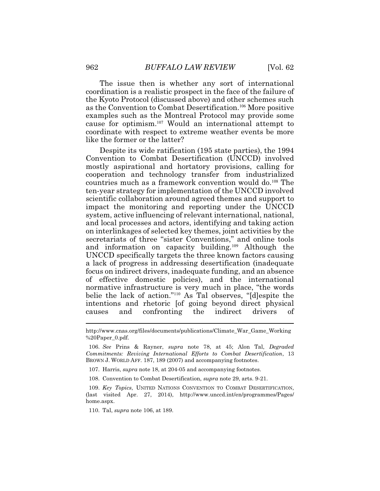like the former or the latter? The issue then is whether any sort of international coordination is a realistic prospect in the face of the failure of the Kyoto Protocol (discussed above) and other schemes such as the Convention to Combat Desertification.<sup>106</sup> More positive examples such as the Montreal Protocol may provide some cause for optimism.<sup>107</sup>Would an international attempt to coordinate with respect to extreme weather events be more

Despite its wide ratification (195 state parties), the 1994 Convention to Combat Desertification (UNCCD) involved mostly aspirational and hortatory provisions, calling for cooperation and technology transfer from industrialized countries much as a framework convention would do.<sup>108</sup> The ten-year strategy for implementation of the UNCCD involved scientific collaboration around agreed themes and support to impact the monitoring and reporting under the UNCCD system, active influencing of relevant international, national, and local processes and actors, identifying and taking action on interlinkages of selected key themes, joint activities by the secretariats of three "sister Conventions," and online tools and information on capacity building.<sup>109</sup> Although the UNCCD specifically targets the three known factors causing a lack of progress in addressing desertification (inadequate focus on indirect drivers, inadequate funding, and an absence of effective domestic policies), and the international normative infrastructure is very much in place, "the words belie the lack of action."<sup>110</sup> As Tal observes, "[d]espite the intentions and rhetoric [of going beyond direct physical causes and confronting the indirect drivers of

107. Harris, *supra* note 18, at 204-05 and accompanying footnotes.

108. Convention to Combat Desertification, *supra* note 29, arts. 9-21.

[http://www.cnas.org/files/documents/publications/Climate\\_War\\_Game\\_Working](http://www.cnas.org/files/documents/publications/Climate_War_Game_Working) %20Paper\_0.pdf.

<sup>106.</sup> *See* Prins & Rayner, *supra* note 78, at 45; Alon Tal, *Degraded Commitments: Reviving International Efforts to Combat Desertification*, 13 BROWN J. WORLD AFF. 187, 189 (2007) and accompanying footnotes.

 <sup>109.</sup> *Key Topics*, UNITED NATIONS CONVENTION TO COMBAT DESERTIFICATION, (last visited Apr. 27, 2014), <http://www.unccd.int/en/programmes/Pages>/ home.aspx.

 <sup>110.</sup> Tal, *supra* note 106, at 189.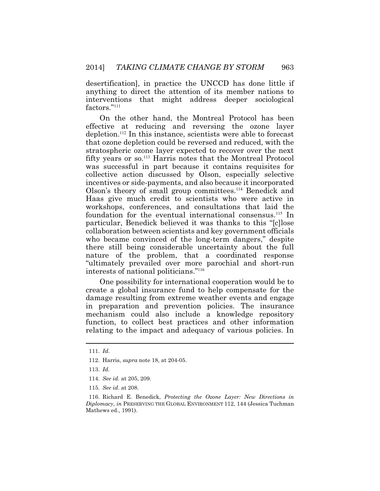desertification], in practice the UNCCD has done little if anything to direct the attention of its member nations to interventions that might address deeper sociological factors."<sup>111</sup>

On the other hand, the Montreal Protocol has been effective at reducing and reversing the ozone layer depletion.<sup>112</sup> In this instance, scientists were able to forecast that ozone depletion could be reversed and reduced, with the stratospheric ozone layer expected to recover over the next fifty years or so.<sup>113</sup> Harris notes that the Montreal Protocol was successful in part because it contains requisites for collective action discussed by Olson, especially selective incentives or side-payments, and also because it incorporated Olson's theory of small group committees.<sup>114</sup> Benedick and Haas give much credit to scientists who were active in workshops, conferences, and consultations that laid the foundation for the eventual international consensus.<sup>115</sup> In particular, Benedick believed it was thanks to this "[c]lose collaboration between scientists and key government officials who became convinced of the long-term dangers," despite there still being considerable uncertainty about the full nature of the problem, that a coordinated response "ultimately prevailed over more parochial and short-run interests of national politicians."<sup>116</sup>

One possibility for international cooperation would be to create a global insurance fund to help compensate for the damage resulting from extreme weather events and engage in preparation and prevention policies. The insurance mechanism could also include a knowledge repository function, to collect best practices and other information relating to the impact and adequacy of various policies. In

<sup>111.</sup> *Id*.

 <sup>112.</sup> Harris, *supra* note 18, at 204-05.

 <sup>113.</sup> *Id.*

 <sup>114.</sup> *See id.* at 205, 209.

<sup>115.</sup> *See id*. at 208.

<sup>116.</sup> Richard E. Benedick, *Protecting the Ozone Layer: New Directions in Diplomacy*, *in* PRESERVING THE GLOBAL ENVIRONMENT 112, 144 (Jessica Tuchman Mathews ed., 1991).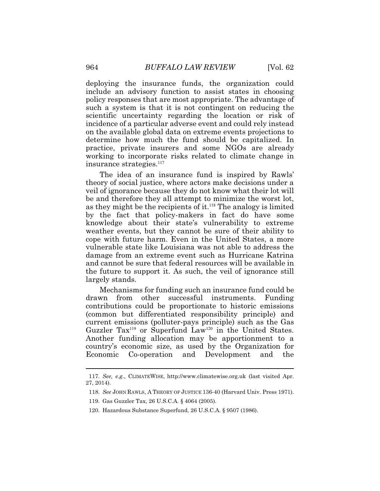deploying the insurance funds, the organization could include an advisory function to assist states in choosing policy responses that are most appropriate. The advantage of such a system is that it is not contingent on reducing the scientific uncertainty regarding the location or risk of incidence of a particular adverse event and could rely instead on the available global data on extreme events projections to determine how much the fund should be capitalized. In practice, private insurers and some NGOs are already working to incorporate risks related to climate change in insurance strategies.<sup>117</sup>

The idea of an insurance fund is inspired by Rawls' theory of social justice, where actors make decisions under a veil of ignorance because they do not know what their lot will be and therefore they all attempt to minimize the worst lot, as they might be the recipients of it.<sup>118</sup> The analogy is limited by the fact that policy-makers in fact do have some knowledge about their state's vulnerability to extreme weather events, but they cannot be sure of their ability to cope with future harm. Even in the United States, a more vulnerable state like Louisiana was not able to address the damage from an extreme event such as Hurricane Katrina and cannot be sure that federal resources will be available in the future to support it. As such, the veil of ignorance still largely stands.

Mechanisms for funding such an insurance fund could be drawn from other successful instruments. Funding contributions could be proportionate to historic emissions (common but differentiated responsibility principle) and current emissions (polluter-pays principle) such as the Gas Guzzler Tax<sup>119</sup> or Superfund Law<sup>120</sup> in the United States. Another funding allocation may be apportionment to a country's economic size, as used by the Organization for Economic Co-operation and Development and the

<sup>117.</sup> *See, e.g.*, CLIMATEWISE, <http://www.climatewise.org.uk> (last visited Apr. 27, 2014).

<sup>118.</sup> *See* JOHN RAWLS, A THEORY OF JUSTICE 136-40 (Harvard Univ. Press 1971).

<sup>119.</sup> Gas Guzzler Tax, 26 U.S.C.A. § 4064 (2005).

<sup>120.</sup> Hazardous Substance Superfund, 26 U.S.C.A. § 9507 (1986).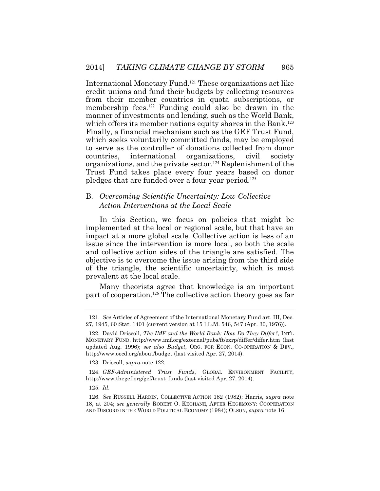International Monetary Fund.<sup>121</sup> These organizations act like credit unions and fund their budgets by collecting resources from their member countries in quota subscriptions, or membership fees.<sup>122</sup> Funding could also be drawn in the manner of investments and lending, such as the World Bank, which offers its member nations equity shares in the Bank.<sup>123</sup> Finally, a financial mechanism such as the GEF Trust Fund, which seeks voluntarily committed funds, may be employed to serve as the controller of donations collected from donor countries, international organizations, civil society organizations, and the private sector.<sup>124</sup> Replenishment of the Trust Fund takes place every four years based on donor pledges that are funded over a four-year period.<sup>125</sup>

#### B. *Overcoming Scientific Uncertainty: Low Collective Action Interventions at the Local Scale*

 issue since the intervention is more local, so both the scale In this Section, we focus on policies that might be implemented at the local or regional scale, but that have an impact at a more global scale. Collective action is less of an and collective action sides of the triangle are satisfied. The objective is to overcome the issue arising from the third side of the triangle, the scientific uncertainty, which is most prevalent at the local scale.

Many theorists agree that knowledge is an important part of cooperation.<sup>126</sup> The collective action theory goes as far

123. Driscoll, *supra* note 122.

 124. *GEF-Administered Trust Funds*, GLOBAL ENVIRONMENT FACILITY, [http://www.thegef.org/gef/trust\\_funds](http://www.thegef.org/gef/trust_funds) (last visited Apr. 27, 2014).

125. *Id.*

<sup>121.</sup> *See* Articles of Agreement of the International Monetary Fund art. III, Dec. 27, 1945, 60 Stat. 1401 (current version at 15 I.L.M. 546, 547 (Apr. 30, 1976)).

 <sup>122.</sup> David Driscoll, *The IMF and the World Bank: How Do They Differ?*, INT'L MONETARY FUND, <http://www.imf.org/external/pubs/ft/exrp/differ/differ.htm> (last updated Aug. 1996); *see also Budget*, ORG. FOR ECON. CO-OPERATION & DEV., <http://www.oecd.org/about/budget> (last visited Apr. 27, 2014).

 <sup>126.</sup> *See* RUSSELL HARDIN, COLLECTIVE ACTION 182 (1982); Harris, *supra* note 18, at 204; *see generally* ROBERT O. KEOHANE, AFTER HEGEMONY: COOPERATION AND DISCORD IN THE WORLD POLITICAL ECONOMY (1984); OLSON, *supra* note 16.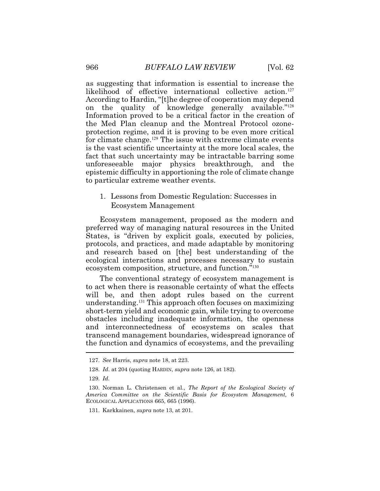as suggesting that information is essential to increase the likelihood of effective international collective action.<sup>127</sup> According to Hardin, "[t]he degree of cooperation may depend on the quality of knowledge generally available."<sup>128</sup> Information proved to be a critical factor in the creation of the Med Plan cleanup and the Montreal Protocol ozoneprotection regime, and it is proving to be even more critical for climate change.<sup>129</sup> The issue with extreme climate events is the vast scientific uncertainty at the more local scales, the fact that such uncertainty may be intractable barring some unforeseeable major physics breakthrough, and the epistemic difficulty in apportioning the role of climate change to particular extreme weather events.

1. Lessons from Domestic Regulation: Successes in Ecosystem Management

Ecosystem management, proposed as the modern and preferred way of managing natural resources in the United States, is "driven by explicit goals, executed by policies, protocols, and practices, and made adaptable by monitoring and research based on [the] best understanding of the ecological interactions and processes necessary to sustain ecosystem composition, structure, and function."<sup>130</sup>

The conventional strategy of ecosystem management is to act when there is reasonable certainty of what the effects will be, and then adopt rules based on the current understanding.<sup>131</sup> This approach often focuses on maximizing short-term yield and economic gain, while trying to overcome obstacles including inadequate information, the openness and interconnectedness of ecosystems on scales that transcend management boundaries, widespread ignorance of the function and dynamics of ecosystems, and the prevailing

<sup>127.</sup> *See* Harris, *supra* note 18, at 223.

 <sup>128.</sup> *Id*. at 204 (quoting HARDIN, *supra* note 126, at 182).

<sup>129.</sup> *Id.*

 <sup>130.</sup> Norman L. Christensen et al., *The Report of the Ecological Society of America Committee on the Scientific Basis for Ecosystem Management,* 6 ECOLOGICAL APPLICATIONS 665, 665 (1996).

 131. Karkkainen, *supra* note 13, at 201.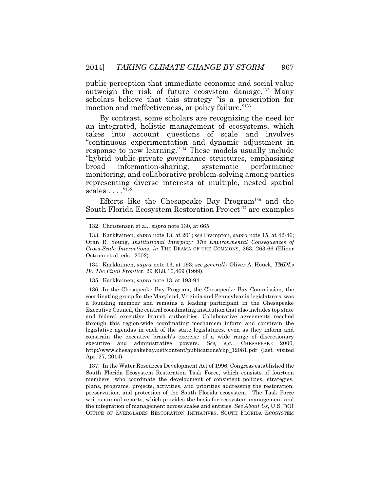public perception that immediate economic and social value outweigh the risk of future ecosystem damage.<sup>132</sup> Many scholars believe that this strategy "is a prescription for inaction and ineffectiveness, or policy failure."<sup>133</sup>

By contrast, some scholars are recognizing the need for an integrated, holistic management of ecosystems, which takes into account questions of scale and involves "continuous experimentation and dynamic adjustment in response to new learning."<sup>134</sup> These models usually include "hybrid public-private governance structures, emphasizing broad information-sharing, systematic performance monitoring, and collaborative problem-solving among parties representing diverse interests at multiple, nested spatial scales . . . . "<sup>135</sup>

Efforts like the Chesapeake Bay Program<sup>136</sup> and the South Florida Ecosystem Restoration Project<sup>137</sup> are examples

132. Christensen et al., *supra* note 130, at 665.

 133. Karkkainen, *supra* note 13, at 201; *see* Frampton, *supra* note 15, at 42-46; Oran R. Young, *Institutional Interplay: The Environmental Consequences of Cross-Scale Interactions*, *in* THE DRAMA OF THE COMMONS, 263, 263-66 (Elinor Ostrom et al. eds., 2002).

134. Karkkainen, *supra* note 13, at 193; *see generally* Oliver A. Houck, *TMDLs IV: The Final Frontier*, 29 ELR 10,469 (1999).

135. Karkkainen, *supra* note 13, at 193-94.

 legislative agendas in each of the state legislatures, even as they inform and 136. In the Chesapeake Bay Program, the Chesapeake Bay Commission, the coordinating group for the Maryland, Virginia and Pennsylvania legislatures, was a founding member and remains a leading participant in the Chesapeake Executive Council, the central coordinating institution that also includes top state and federal executive branch authorities. Collaborative agreements reached through this region-wide coordinating mechanism inform and constrain the constrain the executive branch's exercise of a wide range of discretionary executive and administrative powers. *See, e.g.*, CHESAPEAKE 2000, [http://www.chesapeakebay.net/content/publications/cbp\\_12081.pdf](http://www.chesapeakebay.net/content/publications/cbp_12081.pdf) (last visited Apr. 27, 2014).

 South Florida Ecosystem Restoration Task Force, which consists of fourteen 137. In the Water Resources Development Act of 1996, Congress established the members "who coordinate the development of consistent policies, strategies, plans, programs, projects, activities, and priorities addressing the restoration, preservation, and protection of the South Florida ecosystem." The Task Force writes annual reports, which provides the basis for ecosystem management and the integration of management across scales and entities. *See About Us*, U.S. DOI OFFICE OF EVERGLADES RESTORATION INITIATIVES, SOUTH FLORIDA ECOSYSTEM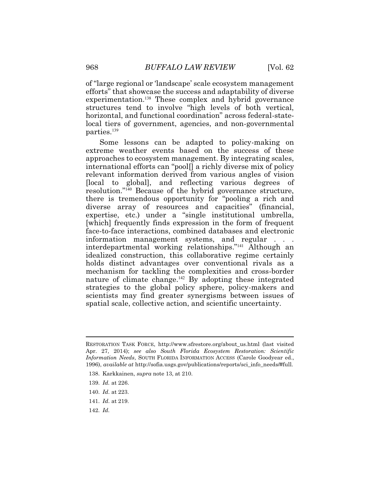of "large regional or 'landscape' scale ecosystem management efforts" that showcase the success and adaptability of diverse experimentation.<sup>138</sup> These complex and hybrid governance structures tend to involve "high levels of both vertical, horizontal, and functional coordination" across federal-statelocal tiers of government, agencies, and non-governmental parties.<sup>139</sup>

Some lessons can be adapted to policy-making on extreme weather events based on the success of these approaches to ecosystem management. By integrating scales, international efforts can "pool[] a richly diverse mix of policy relevant information derived from various angles of vision [local to global], and reflecting various degrees of resolution."<sup>140</sup> Because of the hybrid governance structure, there is tremendous opportunity for "pooling a rich and diverse array of resources and capacities" (financial, expertise, etc.) under a "single institutional umbrella, [which] frequently finds expression in the form of frequent face-to-face interactions, combined databases and electronic information management systems, and regular interdepartmental working relationships."<sup>141</sup> Although an idealized construction, this collaborative regime certainly holds distinct advantages over conventional rivals as a mechanism for tackling the complexities and cross-border nature of climate change.<sup>142</sup> By adopting these integrated strategies to the global policy sphere, policy-makers and scientists may find greater synergisms between issues of spatial scale, collective action, and scientific uncertainty.

- 138. Karkkainen, *supra* note 13, at 210.
- 139. *Id.* at 226.
- 140. *Id*. at 223.
- 141. *Id*. at 219.
- 142. *Id.*

RESTORATION TASK FORCE, [http://www.sfrestore.org/about\\_us.html](http://www.sfrestore.org/about_us.html) (last visited Apr. 27, 2014); *see also South Florida Ecosystem Restoration: Scientific Information Needs*, SOUTH FLORIDA INFORMATION ACCESS (Carole Goodyear ed., 1996), *available at* [http://sofia.usgs.gov/publications/reports/sci\\_info\\_needs/#full.](http://sofia.usgs.gov/publications/reports/sci_info_needs/#full)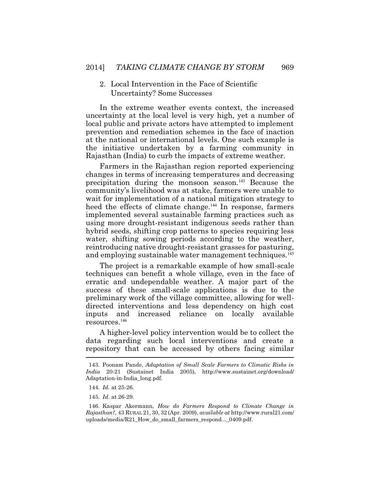**Uncertainty? Some Successes** 2. Local Intervention in the Face of Scientific 2014] *TAKING CLIMATE CHANGE BY STORM* 969<br>2. Local Intervention in the Face of Scientific<br>Uncertainty? Some Successes

In the extreme weather events context, the increased uncertainty at the local level is very high, yet a number of local public and private actors have attempted to implement prevention and remediation schemes in the face of inaction at the national or international levels. One such example is the initiative undertaken by a farming community in Rajasthan (India) to curb the impacts of extreme weather.

Farmers in the Rajasthan region reported experiencing changes in terms of increasing temperatures and decreasing precipitation during the monsoon season.<sup>143</sup> Because the community's livelihood was at stake, farmers were unable to wait for implementation of a national mitigation strategy to heed the effects of climate change.<sup>144</sup> In response, farmers implemented several sustainable farming practices such as using more drought-resistant indigenous seeds rather than hybrid seeds, shifting crop patterns to species requiring less water, shifting sowing periods according to the weather, reintroducing native drought-resistant grasses for pasturing, and employing sustainable water management techniques.<sup>145</sup>

The project is a remarkable example of how small-scale techniques can benefit a whole village, even in the face of erratic and undependable weather. A major part of the success of these small-scale applications is due to the preliminary work of the village committee, allowing for welldirected interventions and less dependency on high cost inputs and increased reliance on locally available resources.<sup>146</sup>

A higher-level policy intervention would be to collect the data regarding such local interventions and create a repository that can be accessed by others facing similar

 <sup>143.</sup> Poonam Pande, *Adaptation of Small Scale Farmers to Climatic Risks in India* 20-21 (Sustainet India 2005), [http://www.sustainet.org/download/](http://www.sustainet.org/download) Adaptation-in-India\_long.pdf.

 <sup>144.</sup> *Id.* at 25-26.

 <sup>145.</sup> *Id*. at 26-29.

 <sup>146.</sup> Kaspar Akermann, *How do Farmers Respond to Climate Change in Rajasthan?*, 43 RURAL 21, 30, 32 (Apr. 2009), *available at*<http://www.rural21.com>/ uploads/media/R21\_How\_do\_small\_farmers\_respond...\_0409.pdf.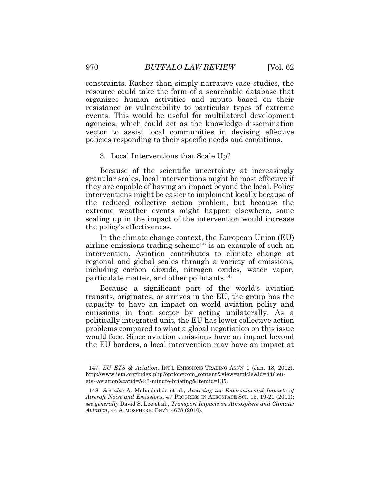constraints. Rather than simply narrative case studies, the resource could take the form of a searchable database that organizes human activities and inputs based on their resistance or vulnerability to particular types of extreme events. This would be useful for multilateral development agencies, which could act as the knowledge dissemination vector to assist local communities in devising effective policies responding to their specific needs and conditions.

#### 3. Local Interventions that Scale Up?

Because of the scientific uncertainty at increasingly granular scales, local interventions might be most effective if they are capable of having an impact beyond the local. Policy interventions might be easier to implement locally because of the reduced collective action problem, but because the extreme weather events might happen elsewhere, some scaling up in the impact of the intervention would increase the policy's effectiveness.

In the climate change context, the European Union (EU) airline emissions trading scheme<sup> $147$ </sup> is an example of such an intervention. Aviation contributes to climate change at regional and global scales through a variety of emissions, including carbon dioxide, nitrogen oxides, water vapor, particulate matter, and other pollutants.<sup>148</sup>

Because a significant part of the world's aviation transits, originates, or arrives in the EU, the group has the capacity to have an impact on world aviation policy and emissions in that sector by acting unilaterally. As a politically integrated unit, the EU has lower collective action problems compared to what a global negotiation on this issue would face. Since aviation emissions have an impact beyond the EU borders, a local intervention may have an impact at

 147. *EU ETS & Aviation*, INT'L EMISSIONS TRADING ASS'N 1 (Jan. 18, 2012), [http://www.ieta.org/index.php?option=com\\_content&view=article&id=446:eu](http://www.ieta.org/index.php?option=com_content&view=article&id=446:eu)ets--aviation&catid=54:3-minute-briefing&Itemid=135.

<sup>148.</sup> *See also* A. Mahashabde et al., *Assessing the Environmental Impacts of Aircraft Noise and Emissions*, 47 PROGRESS IN AEROSPACE SCI. 15, 19-21 (2011); *see generally* David S. Lee et al., *Transport Impacts on Atmosphere and Climate: Aviation*, 44 ATMOSPHERIC ENV'T 4678 (2010).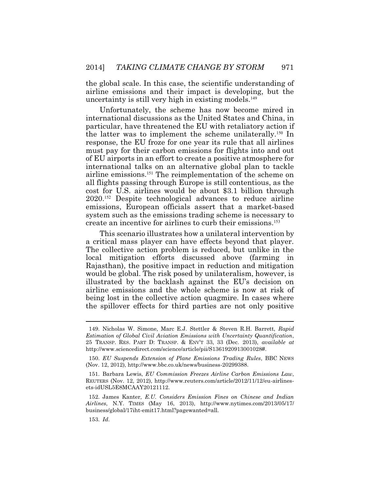the global scale. In this case, the scientific understanding of airline emissions and their impact is developing, but the uncertainty is still very high in existing models.<sup>149</sup>

 create an incentive for airlines to curb their emissions.<sup>153</sup> Unfortunately, the scheme has now become mired in international discussions as the United States and China, in particular, have threatened the EU with retaliatory action if the latter was to implement the scheme unilaterally.<sup>150</sup> In response, the EU froze for one year its rule that all airlines must pay for their carbon emissions for flights into and out of EU airports in an effort to create a positive atmosphere for international talks on an alternative global plan to tackle airline emissions.<sup>151</sup> The reimplementation of the scheme on all flights passing through Europe is still contentious, as the cost for U.S. airlines would be about \$3.1 billion through 2020.<sup>152</sup> Despite technological advances to reduce airline emissions, European officials assert that a market-based system such as the emissions trading scheme is necessary to

This scenario illustrates how a unilateral intervention by a critical mass player can have effects beyond that player. The collective action problem is reduced, but unlike in the local mitigation efforts discussed above (farming in Rajasthan), the positive impact in reduction and mitigation would be global. The risk posed by unilateralism, however, is illustrated by the backlash against the EU's decision on airline emissions and the whole scheme is now at risk of being lost in the collective action quagmire. In cases where the spillover effects for third parties are not only positive

151. Barbara Lewis, *EU Commission Freezes Airline Carbon Emissions Law*, REUTERS (Nov. 12, 2012), <http://www.reuters.com/article/2012/11/12/eu-airlines>ets-idUSL5E8MCAAY20121112.

153. *Id*.

<sup>149.</sup> Nicholas W. Simone, Marc E.J. Stettler & Steven R.H. Barrett, *Rapid Estimation of Global Civil Aviation Emissions with Uncertainty Quantification*, 25 TRANSP. RES. PART D: TRANSP.&ENV'T 33, 33 (Dec. 2013), *available at*  <http://www.sciencedirect.com/science/article/pii/S1361920913001028>#.

 <sup>150.</sup> *EU Suspends Extension of Plane Emissions Trading Rules*, BBC NEWS (Nov. 12, 2012), <http://www.bbc.co.uk/news/business-20299388>.

<sup>152.</sup> James Kanter, *E.U. Considers Emission Fines on Chinese and Indian Airlines*, N.Y. TIMES (May 16, 2013), <http://www.nytimes.com/2013/05/17>/ business/global/17iht-emit17.html?pagewanted=all.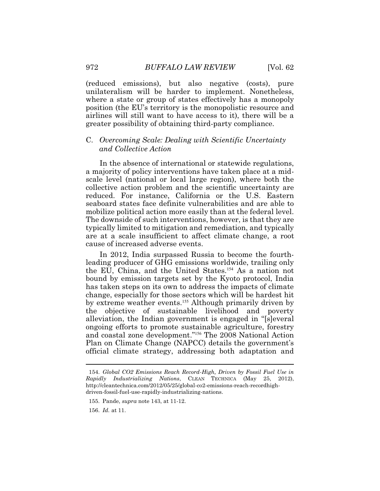(reduced emissions), but also negative (costs), pure unilateralism will be harder to implement. Nonetheless, where a state or group of states effectively has a monopoly position (the EU's territory is the monopolistic resource and airlines will still want to have access to it), there will be a greater possibility of obtaining third-party compliance.

## C. *Overcoming Scale: Dealing with Scientific Uncertainty and Collective Action*

In the absence of international or statewide regulations, a majority of policy interventions have taken place at a midscale level (national or local large region), where both the collective action problem and the scientific uncertainty are reduced. For instance, California or the U.S. Eastern seaboard states face definite vulnerabilities and are able to mobilize political action more easily than at the federal level. The downside of such interventions, however, is that they are typically limited to mitigation and remediation, and typically are at a scale insufficient to affect climate change, a root cause of increased adverse events.

In 2012, India surpassed Russia to become the fourthleading producer of GHG emissions worldwide, trailing only the EU, China, and the United States.<sup>154</sup> As a nation not bound by emission targets set by the Kyoto protocol, India has taken steps on its own to address the impacts of climate change, especially for those sectors which will be hardest hit by extreme weather events.<sup>155</sup> Although primarily driven by the objective of sustainable livelihood and poverty alleviation, the Indian government is engaged in "[s]everal ongoing efforts to promote sustainable agriculture, forestry and coastal zone development."<sup>156</sup> The 2008 National Action Plan on Climate Change (NAPCC) details the government's official climate strategy, addressing both adaptation and

156. *Id.* at 11.

<sup>154.</sup> *Global CO2 Emissions Reach Record-High, Driven by Fossil Fuel Use in Rapidly Industrializing Nations*, CLEAN TECHNICA (May 25, 2012), <http://cleantechnica.com/2012/05/25/global-co2-emissions-reach-recordhigh>driven-fossil-fuel-use-rapidly-industrializing-nations.

 <sup>155.</sup> Pande, *supra* note 143, at 11-12.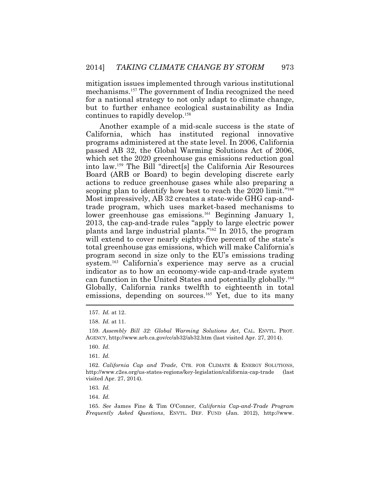mitigation issues implemented through various institutional mechanisms.<sup>157</sup> The government of India recognized the need for a national strategy to not only adapt to climate change, but to further enhance ecological sustainability as India continues to rapidly develop.<sup>158</sup>

Another example of a mid-scale success is the state of California, which has instituted regional innovative programs administered at the state level. In 2006, California passed AB 32, the Global Warming Solutions Act of 2006, which set the 2020 greenhouse gas emissions reduction goal into law.<sup>159</sup> The Bill "direct[s] the California Air Resources Board (ARB or Board) to begin developing discrete early actions to reduce greenhouse gases while also preparing a scoping plan to identify how best to reach the 2020 limit."<sup>160</sup> Most impressively, AB 32 creates a state-wide GHG cap-andtrade program, which uses market-based mechanisms to lower greenhouse gas emissions.<sup>161</sup> Beginning January 1, 2013, the cap-and-trade rules "apply to large electric power plants and large industrial plants."<sup>162</sup> In 2015, the program will extend to cover nearly eighty-five percent of the state's total greenhouse gas emissions, which will make California's program second in size only to the EU's emissions trading system.<sup>163</sup> California's experience may serve as a crucial indicator as to how an economy-wide cap-and-trade system can function in the United States and potentially globally.<sup>164</sup> Globally, California ranks twelfth to eighteenth in total emissions, depending on sources.<sup>165</sup> Yet, due to its many

158. *Id.* at 11.

 159. *Assembly Bill 32: Global Warming Solutions Act*, CAL. ENVTL. PROT. AGENCY,<http://www.arb.ca.gov/cc/ab32/ab32.htm> (last visited Apr. 27, 2014).

160. *Id.*

161. *Id.*

 162. *California Cap and Trade*, CTR. FOR CLIMATE & ENERGY SOLUTIONS, <http://www.c2es.org/us-states-regions/key-legislation/california-cap-trade>(last visited Apr. 27, 2014).

163. *Id.*

164. *Id.*

 165. *See* James Fine & Tim O'Conner, *California Cap-and-Trade Program Frequently Asked Questions*, ENVTL. DEF. FUND (Jan. 2012), <http://www>.

<sup>157.</sup> *Id.* at 12.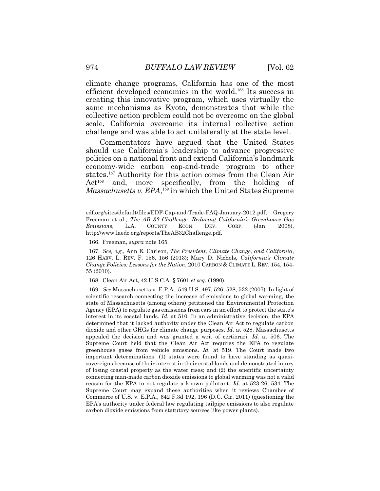climate change programs, California has one of the most efficient developed economies in the world.<sup>166</sup> Its success in creating this innovative program, which uses virtually the same mechanisms as Kyoto, demonstrates that while the collective action problem could not be overcome on the global scale, California overcame its internal collective action challenge and was able to act unilaterally at the state level.

Commentators have argued that the United States should use California's leadership to advance progressive policies on a national front and extend California's landmark economy-wide carbon cap-and-trade program to other states.<sup>167</sup> Authority for this action comes from the Clean Air Act<sup>168</sup> and, more specifically, from the holding of *Massachusetts v. EPA*, <sup>169</sup> in which the United States Supreme

166. Freeman, *supra* note 165.

 167. *See, e.g.*, Ann E. Carlson, *The President, Climate Change, and California*, 126 HARV. L. REV. F. 156, 156 (2013); Mary D. Nichols, *California's Climate Change Policies: Lessons for the Nation,* 2010 CARBON & CLIMATE L. REV. 154, 154- 55 (2010).

168. Clean Air Act, 42 U.S.C.A. § 7601 *et seq.* (1990).

 Agency (EPA) to regulate gas emissions from cars in an effort to protect the state's Supreme Court may expand these authorities when it reviews Chamber of carbon dioxide emissions from statutory sources like power plants). 169. *See* Massachusetts v. E.P.A., 549 U.S. 497, 526, 528, 532 (2007). In light of scientific research connecting the increase of emissions to global warming, the state of Massachusetts (among others) petitioned the Environmental Protection interest in its coastal lands. *Id.* at 510. In an administrative decision, the EPA determined that it lacked authority under the Clean Air Act to regulate carbon dioxide and other GHGs for climate change purposes. *Id.* at 528. Massachusetts appealed the decision and was granted a writ of certiorari. *Id.* at 506. The Supreme Court held that the Clean Air Act requires the EPA to regulate greenhouse gases from vehicle emissions. *Id.* at 519. The Court made two important determinations: (1) states were found to have standing as quasisovereigns because of their interest in their costal lands and demonstrated injury of losing coastal property as the water rises; and (2) the scientific uncertainty connecting man-made carbon dioxide emissions to global warming was not a valid reason for the EPA to not regulate a known pollutant. *Id.* at 523-26, 534. The Commerce of U.S. v. E.P.A*.*, 642 F.3d 192, 196 (D.C. Cir. 2011) (questioning the EPA's authority under federal law regulating tailpipe emissions to also regulate

[edf.org/sites/default/files/EDF-Cap-and-Trade-FAQ-January-2012.pdf;](https://edf.org/sites/default/files/EDF-Cap-and-Trade-FAQ-January-2012.pdf) Gregory Freeman et al., *The AB 32 Challenge: Reducing California's Greenhouse Gas Emissions*, L.A. COUNTY ECON. DEV. CORP. (Jan. 2008), [http://www.laedc.org/reports/TheAB32Challenge.pdf.](http://www.laedc.org/reports/TheAB32Challenge.pdf)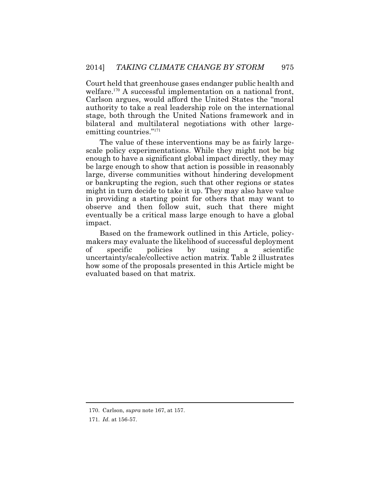Court held that greenhouse gases endanger public health and welfare.<sup>170</sup> A successful implementation on a national front, Carlson argues, would afford the United States the "moral authority to take a real leadership role on the international stage, both through the United Nations framework and in bilateral and multilateral negotiations with other largeemitting countries."<sup>171</sup>

The value of these interventions may be as fairly largescale policy experimentations. While they might not be big enough to have a significant global impact directly, they may be large enough to show that action is possible in reasonably large, diverse communities without hindering development or bankrupting the region, such that other regions or states might in turn decide to take it up. They may also have value in providing a starting point for others that may want to observe and then follow suit, such that there might eventually be a critical mass large enough to have a global impact.

Based on the framework outlined in this Article, policymakers may evaluate the likelihood of successful deployment of specific policies by using a scientific uncertainty/scale/collective action matrix. Table 2 illustrates how some of the proposals presented in this Article might be evaluated based on that matrix.

<sup>170.</sup> Carlson, *supra* note 167, at 157.

 <sup>171.</sup> *Id*. at 156-57.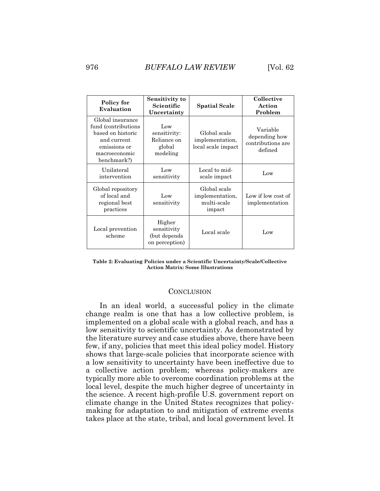| Policy for<br>Evaluation                                                                                                     | Sensitivity to<br>Scientific<br>Uncertainty              | <b>Spatial Scale</b>                                     | Collective<br>Action<br>Problem                           |
|------------------------------------------------------------------------------------------------------------------------------|----------------------------------------------------------|----------------------------------------------------------|-----------------------------------------------------------|
| Global insurance<br>fund (contributions)<br>based on historic<br>and current<br>emissions or<br>macroeconomic<br>benchmark?) | Low<br>sensitivity:<br>Reliance on<br>global<br>modeling | Global scale<br>implementation,<br>local scale impact    | Variable<br>depending how<br>contributions are<br>defined |
| Unilateral<br>intervention                                                                                                   | Low<br>sensitivity                                       | Local to mid-<br>scale impact                            | Low                                                       |
| Global repository<br>of local and<br>regional best<br>practices                                                              | Low<br>sensitivity                                       | Global scale<br>implementation,<br>multi-scale<br>impact | Low if low cost of<br>implementation                      |
| Local prevention<br>scheme                                                                                                   | Higher<br>sensitivity<br>(but depends<br>on perception)  | Local scale                                              | Low                                                       |

**Table 2: Evaluating Policies under a Scientific Uncertainty/Scale/Collective Action Matrix: Some Illustrations** 

#### **CONCLUSION**

In an ideal world, a successful policy in the climate change realm is one that has a low collective problem, is implemented on a global scale with a global reach, and has a low sensitivity to scientific uncertainty. As demonstrated by the literature survey and case studies above, there have been few, if any, policies that meet this ideal policy model. History shows that large-scale policies that incorporate science with a low sensitivity to uncertainty have been ineffective due to a collective action problem; whereas policy-makers are typically more able to overcome coordination problems at the local level, despite the much higher degree of uncertainty in the science. A recent high-profile U.S. government report on climate change in the United States recognizes that policymaking for adaptation to and mitigation of extreme events takes place at the state, tribal, and local government level. It